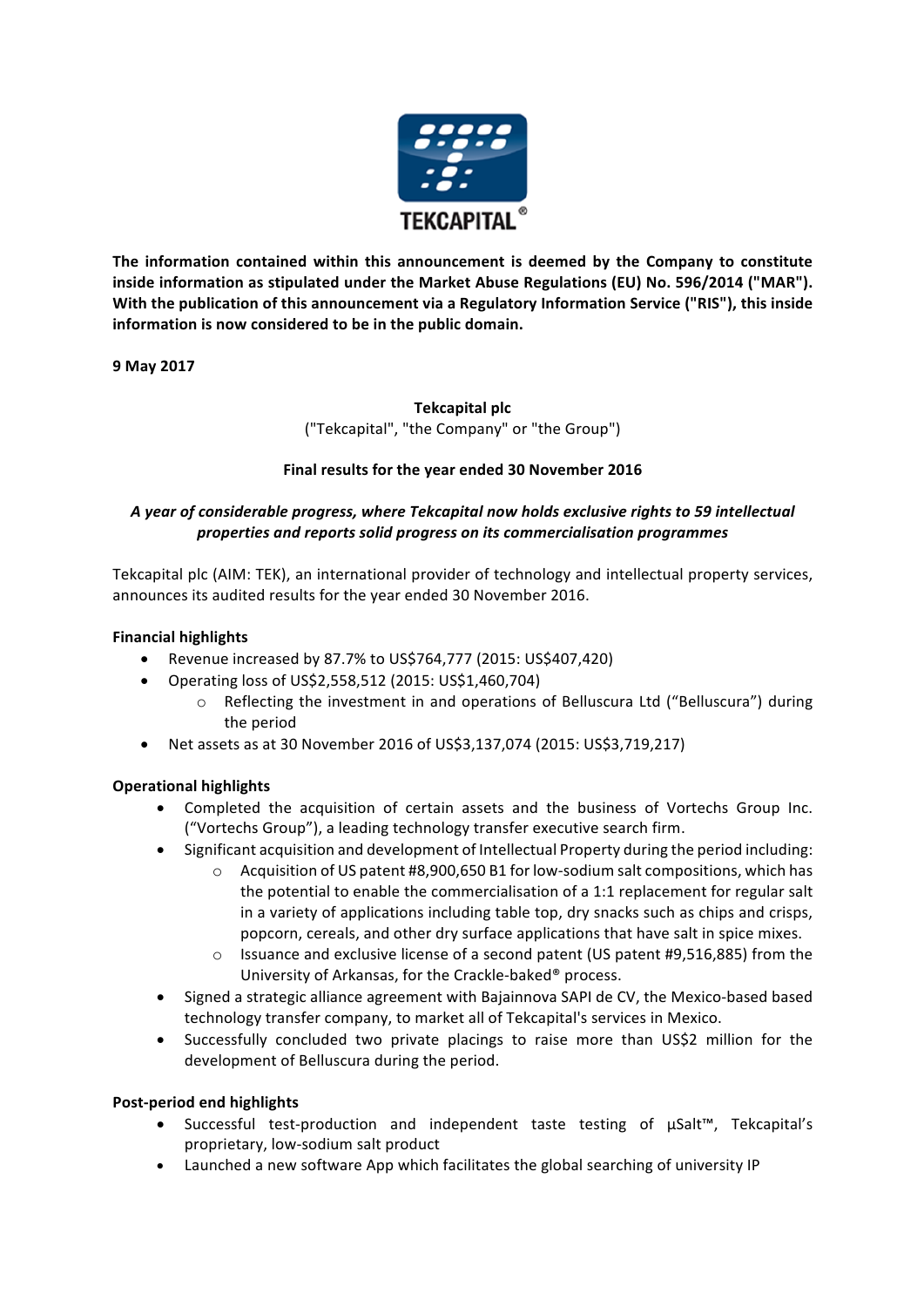

The information contained within this announcement is deemed by the Company to constitute inside information as stipulated under the Market Abuse Regulations (EU) No. 596/2014 ("MAR"). With the publication of this announcement via a Regulatory Information Service ("RIS"), this inside information is now considered to be in the public domain.

**9 May 2017** 

# **Tekcapital plc** ("Tekcapital", "the Company" or "the Group")

# Final results for the year ended 30 November 2016

# *A year of considerable progress, where Tekcapital now holds exclusive rights to 59 intellectual properties and reports solid progress on its commercialisation programmes*

Tekcapital plc (AIM: TEK), an international provider of technology and intellectual property services, announces its audited results for the year ended 30 November 2016.

# **Financial highlights**

- Revenue increased by 87.7% to US\$764,777 (2015: US\$407,420)
- Operating loss of US\$2,558,512 (2015: US\$1,460,704)
	- $\circ$  Reflecting the investment in and operations of Belluscura Ltd ("Belluscura") during the period
- Net assets as at 30 November 2016 of US\$3,137,074 (2015: US\$3,719,217)

# **Operational highlights**

- Completed the acquisition of certain assets and the business of Vortechs Group Inc. ("Vortechs Group"), a leading technology transfer executive search firm.
- Significant acquisition and development of Intellectual Property during the period including:
	- $\circ$  Acquisition of US patent #8,900,650 B1 for low-sodium salt compositions, which has the potential to enable the commercialisation of a 1:1 replacement for regular salt in a variety of applications including table top, dry snacks such as chips and crisps, popcorn, cereals, and other dry surface applications that have salt in spice mixes.
	- $\circ$  Issuance and exclusive license of a second patent (US patent #9,516,885) from the University of Arkansas, for the Crackle-baked® process.
- Signed a strategic alliance agreement with Bajainnova SAPI de CV, the Mexico-based based technology transfer company, to market all of Tekcapital's services in Mexico.
- Successfully concluded two private placings to raise more than US\$2 million for the development of Belluscura during the period.

# **Post-period end highlights**

- Successful test-production and independent taste testing of µSalt™, Tekcapital's proprietary, low-sodium salt product
- Launched a new software App which facilitates the global searching of university IP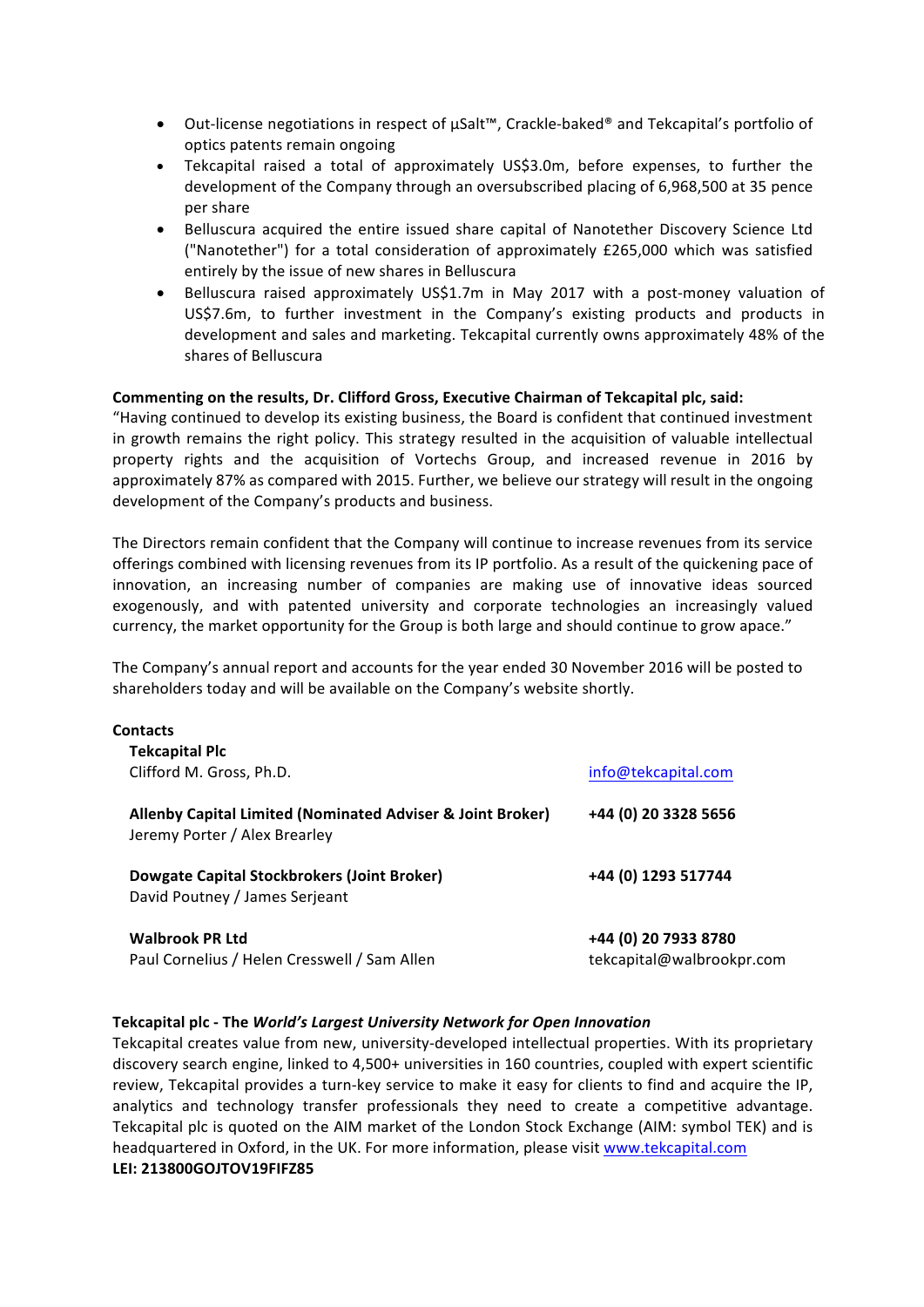- Out-license negotiations in respect of µSalt™, Crackle-baked® and Tekcapital's portfolio of optics patents remain ongoing
- Tekcapital raised a total of approximately US\$3.0m, before expenses, to further the development of the Company through an oversubscribed placing of 6,968,500 at 35 pence per share
- Belluscura acquired the entire issued share capital of Nanotether Discovery Science Ltd ("Nanotether") for a total consideration of approximately £265,000 which was satisfied entirely by the issue of new shares in Belluscura
- Belluscura raised approximately US\$1.7m in May 2017 with a post-money valuation of US\$7.6m, to further investment in the Company's existing products and products in development and sales and marketing. Tekcapital currently owns approximately 48% of the shares of Belluscura

#### Commenting on the results, Dr. Clifford Gross, Executive Chairman of Tekcapital plc, said:

"Having continued to develop its existing business, the Board is confident that continued investment in growth remains the right policy. This strategy resulted in the acquisition of valuable intellectual property rights and the acquisition of Vortechs Group, and increased revenue in 2016 by approximately 87% as compared with 2015. Further, we believe our strategy will result in the ongoing development of the Company's products and business.

The Directors remain confident that the Company will continue to increase revenues from its service offerings combined with licensing revenues from its IP portfolio. As a result of the quickening pace of innovation, an increasing number of companies are making use of innovative ideas sourced exogenously, and with patented university and corporate technologies an increasingly valued currency, the market opportunity for the Group is both large and should continue to grow apace."

The Company's annual report and accounts for the year ended 30 November 2016 will be posted to shareholders today and will be available on the Company's website shortly.

| Contacts                                                                                    |                           |
|---------------------------------------------------------------------------------------------|---------------------------|
| <b>Tekcapital Plc</b>                                                                       |                           |
| Clifford M. Gross, Ph.D.                                                                    | info@tekcapital.com       |
| Allenby Capital Limited (Nominated Adviser & Joint Broker)<br>Jeremy Porter / Alex Brearley | +44 (0) 20 3328 5656      |
| Dowgate Capital Stockbrokers (Joint Broker)<br>David Poutney / James Serjeant               | +44 (0) 1293 517744       |
| <b>Walbrook PR Ltd</b>                                                                      | +44 (0) 20 7933 8780      |
| Paul Cornelius / Helen Cresswell / Sam Allen                                                | tekcapital@walbrookpr.com |

#### **Tekcapital plc - The World's Largest University Network for Open Innovation**

Tekcapital creates value from new, university-developed intellectual properties. With its proprietary discovery search engine, linked to 4,500+ universities in 160 countries, coupled with expert scientific review, Tekcapital provides a turn-key service to make it easy for clients to find and acquire the IP, analytics and technology transfer professionals they need to create a competitive advantage. Tekcapital plc is quoted on the AIM market of the London Stock Exchange (AIM: symbol TEK) and is headquartered in Oxford, in the UK. For more information, please visit www.tekcapital.com **LEI: 213800GOJTOV19FIFZ85**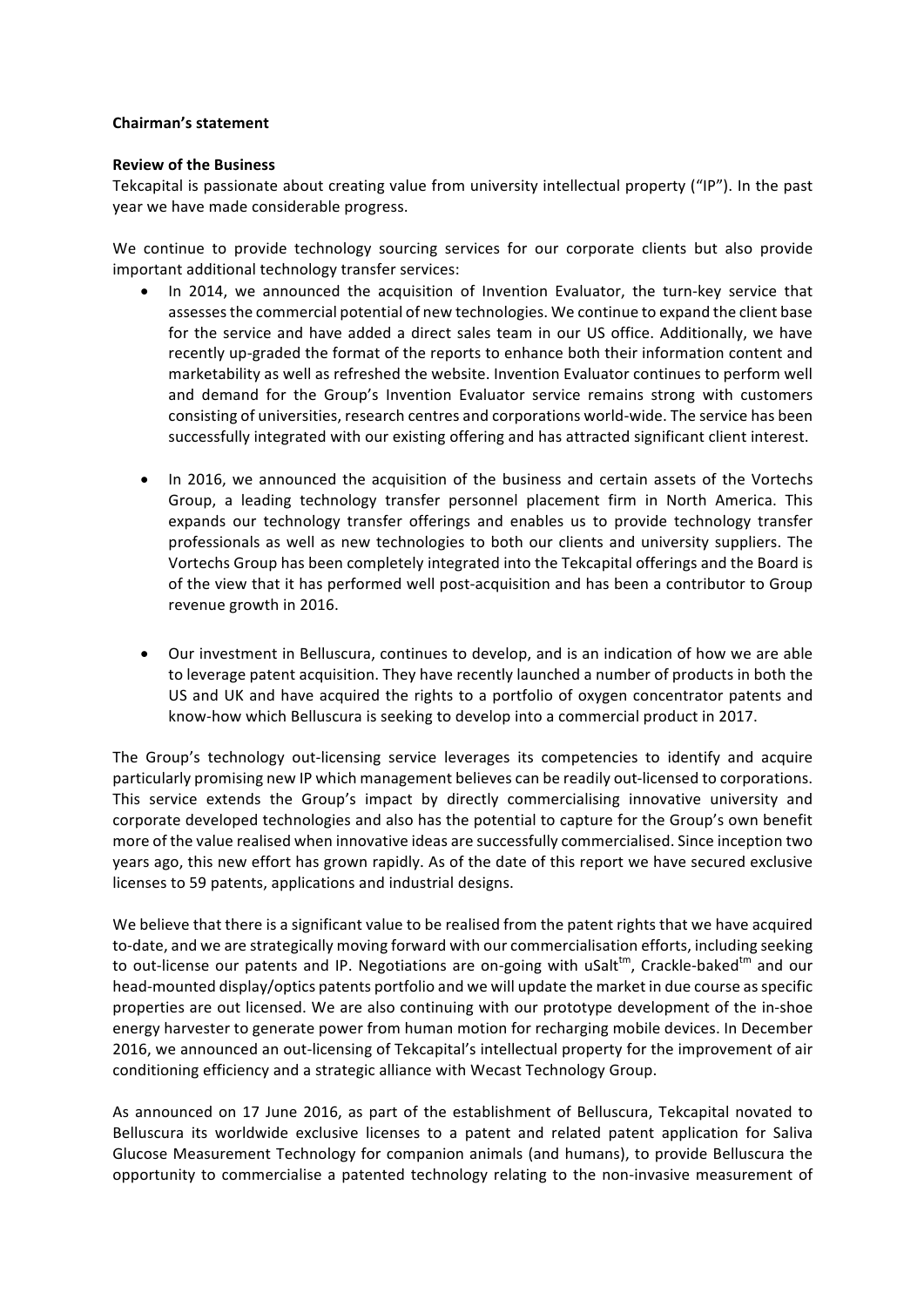#### **Chairman's statement**

#### **Review of the Business**

Tekcapital is passionate about creating value from university intellectual property ("IP"). In the past year we have made considerable progress.

We continue to provide technology sourcing services for our corporate clients but also provide important additional technology transfer services:

- In 2014, we announced the acquisition of Invention Evaluator, the turn-key service that assesses the commercial potential of new technologies. We continue to expand the client base for the service and have added a direct sales team in our US office. Additionally, we have recently up-graded the format of the reports to enhance both their information content and marketability as well as refreshed the website. Invention Evaluator continues to perform well and demand for the Group's Invention Evaluator service remains strong with customers consisting of universities, research centres and corporations world-wide. The service has been successfully integrated with our existing offering and has attracted significant client interest.
- In 2016, we announced the acquisition of the business and certain assets of the Vortechs Group, a leading technology transfer personnel placement firm in North America. This expands our technology transfer offerings and enables us to provide technology transfer professionals as well as new technologies to both our clients and university suppliers. The Vortechs Group has been completely integrated into the Tekcapital offerings and the Board is of the view that it has performed well post-acquisition and has been a contributor to Group revenue growth in 2016.
- Our investment in Belluscura, continues to develop, and is an indication of how we are able to leverage patent acquisition. They have recently launched a number of products in both the US and UK and have acquired the rights to a portfolio of oxygen concentrator patents and know-how which Belluscura is seeking to develop into a commercial product in 2017.

The Group's technology out-licensing service leverages its competencies to identify and acquire particularly promising new IP which management believes can be readily out-licensed to corporations. This service extends the Group's impact by directly commercialising innovative university and corporate developed technologies and also has the potential to capture for the Group's own benefit more of the value realised when innovative ideas are successfully commercialised. Since inception two years ago, this new effort has grown rapidly. As of the date of this report we have secured exclusive licenses to 59 patents, applications and industrial designs.

We believe that there is a significant value to be realised from the patent rights that we have acquired to-date, and we are strategically moving forward with our commercialisation efforts, including seeking to out-license our patents and IP. Negotiations are on-going with uSalt<sup>tm</sup>, Crackle-baked<sup>tm</sup> and our head-mounted display/optics patents portfolio and we will update the market in due course as specific properties are out licensed. We are also continuing with our prototype development of the in-shoe energy harvester to generate power from human motion for recharging mobile devices. In December 2016, we announced an out-licensing of Tekcapital's intellectual property for the improvement of air conditioning efficiency and a strategic alliance with Wecast Technology Group.

As announced on 17 June 2016, as part of the establishment of Belluscura, Tekcapital novated to Belluscura its worldwide exclusive licenses to a patent and related patent application for Saliva Glucose Measurement Technology for companion animals (and humans), to provide Belluscura the opportunity to commercialise a patented technology relating to the non-invasive measurement of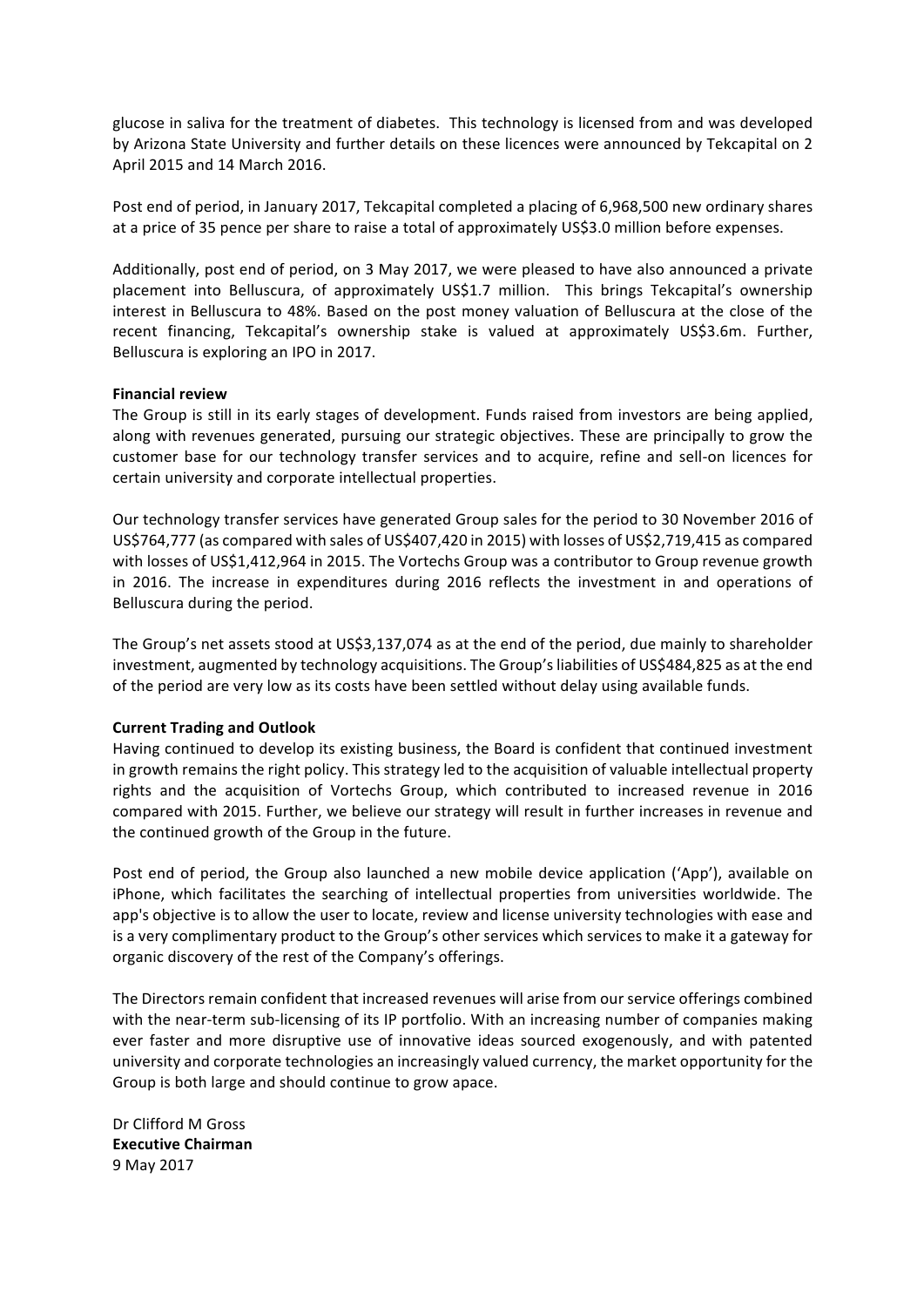glucose in saliva for the treatment of diabetes. This technology is licensed from and was developed by Arizona State University and further details on these licences were announced by Tekcapital on 2 April 2015 and 14 March 2016.

Post end of period, in January 2017, Tekcapital completed a placing of 6,968,500 new ordinary shares at a price of 35 pence per share to raise a total of approximately US\$3.0 million before expenses.

Additionally, post end of period, on 3 May 2017, we were pleased to have also announced a private placement into Belluscura, of approximately US\$1.7 million. This brings Tekcapital's ownership interest in Belluscura to 48%. Based on the post money valuation of Belluscura at the close of the recent financing, Tekcapital's ownership stake is valued at approximately US\$3.6m. Further, Belluscura is exploring an IPO in 2017.

#### **Financial review**

The Group is still in its early stages of development. Funds raised from investors are being applied, along with revenues generated, pursuing our strategic objectives. These are principally to grow the customer base for our technology transfer services and to acquire, refine and sell-on licences for certain university and corporate intellectual properties.

Our technology transfer services have generated Group sales for the period to 30 November 2016 of US\$764,777 (as compared with sales of US\$407,420 in 2015) with losses of US\$2,719,415 as compared with losses of US\$1,412,964 in 2015. The Vortechs Group was a contributor to Group revenue growth in 2016. The increase in expenditures during 2016 reflects the investment in and operations of Belluscura during the period.

The Group's net assets stood at US\$3,137,074 as at the end of the period, due mainly to shareholder investment, augmented by technology acquisitions. The Group's liabilities of US\$484,825 as at the end of the period are very low as its costs have been settled without delay using available funds.

## **Current Trading and Outlook**

Having continued to develop its existing business, the Board is confident that continued investment in growth remains the right policy. This strategy led to the acquisition of valuable intellectual property rights and the acquisition of Vortechs Group, which contributed to increased revenue in 2016 compared with 2015. Further, we believe our strategy will result in further increases in revenue and the continued growth of the Group in the future.

Post end of period, the Group also launched a new mobile device application ('App'), available on iPhone, which facilitates the searching of intellectual properties from universities worldwide. The app's objective is to allow the user to locate, review and license university technologies with ease and is a very complimentary product to the Group's other services which services to make it a gateway for organic discovery of the rest of the Company's offerings.

The Directors remain confident that increased revenues will arise from our service offerings combined with the near-term sub-licensing of its IP portfolio. With an increasing number of companies making ever faster and more disruptive use of innovative ideas sourced exogenously, and with patented university and corporate technologies an increasingly valued currency, the market opportunity for the Group is both large and should continue to grow apace.

Dr Clifford M Gross **Executive Chairman** 9 May 2017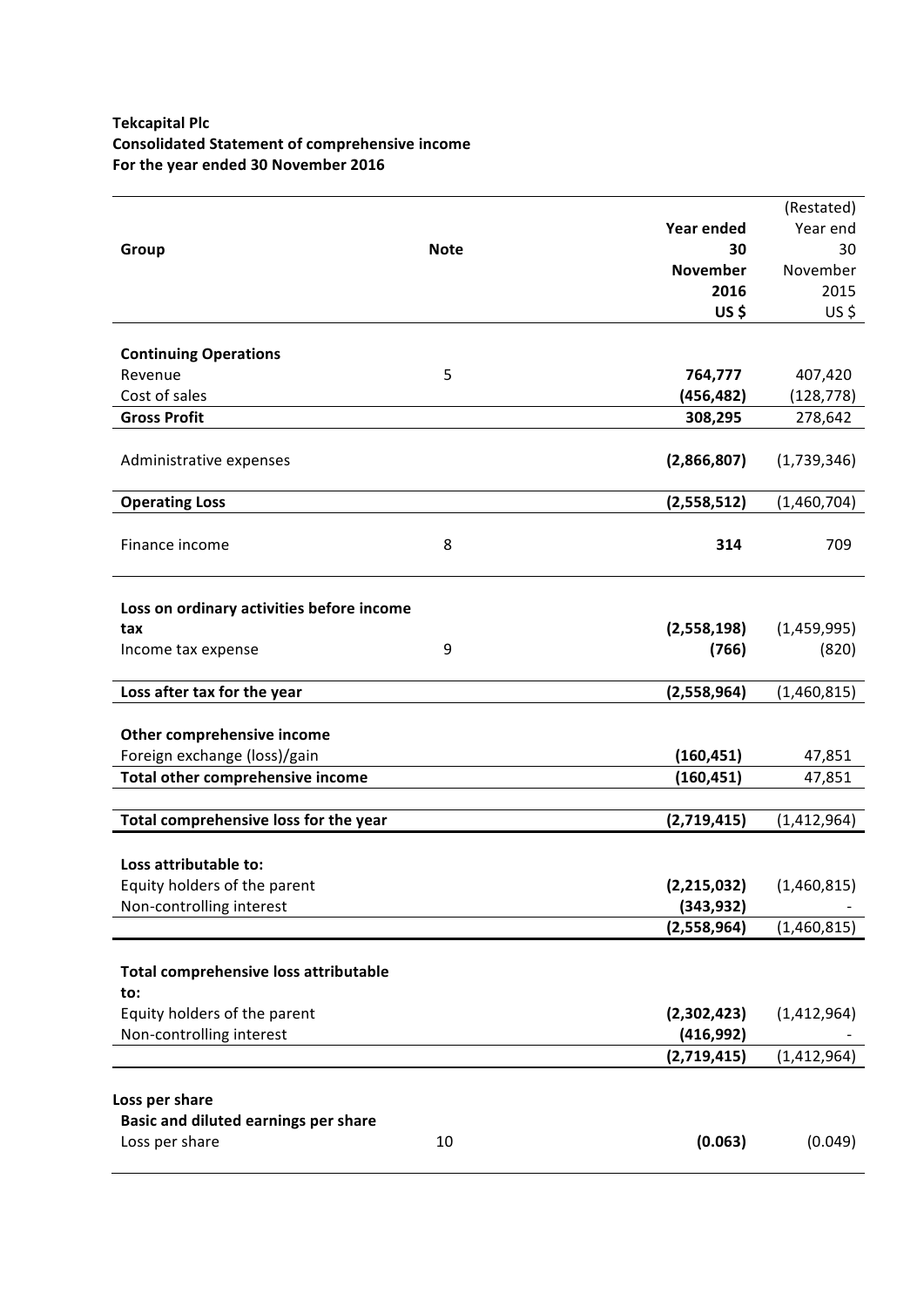# **Tekcapital Plc Consolidated Statement of comprehensive income** For the year ended 30 November 2016

|                                           |             |                             | (Restated)    |
|-------------------------------------------|-------------|-----------------------------|---------------|
|                                           |             | <b>Year ended</b>           | Year end      |
| Group                                     | <b>Note</b> | 30                          | 30            |
|                                           |             | <b>November</b>             | November      |
|                                           |             | 2016                        | 2015          |
|                                           |             | US\$                        | US\$          |
|                                           |             |                             |               |
| <b>Continuing Operations</b>              |             |                             |               |
| Revenue                                   | 5           | 764,777                     | 407,420       |
| Cost of sales                             |             | (456, 482)                  | (128, 778)    |
| <b>Gross Profit</b>                       |             | 308,295                     | 278,642       |
|                                           |             |                             |               |
| Administrative expenses                   |             | (2,866,807)                 | (1,739,346)   |
|                                           |             |                             |               |
| <b>Operating Loss</b>                     |             | (2,558,512)                 | (1,460,704)   |
|                                           |             |                             |               |
| Finance income                            | 8           | 314                         | 709           |
|                                           |             |                             |               |
| Loss on ordinary activities before income |             |                             |               |
| tax                                       |             | (2,558,198)                 | (1,459,995)   |
| Income tax expense                        | 9           | (766)                       | (820)         |
|                                           |             |                             |               |
| Loss after tax for the year               |             | (2,558,964)                 | (1,460,815)   |
|                                           |             |                             |               |
| Other comprehensive income                |             |                             |               |
| Foreign exchange (loss)/gain              |             | (160, 451)                  | 47,851        |
| Total other comprehensive income          |             | (160, 451)                  | 47,851        |
|                                           |             |                             |               |
| Total comprehensive loss for the year     |             | (2,719,415)                 | (1,412,964)   |
|                                           |             |                             |               |
| Loss attributable to:                     |             |                             |               |
| Equity holders of the parent              |             | (2, 215, 032)<br>(343, 932) | (1,460,815)   |
| Non-controlling interest                  |             | (2,558,964)                 | (1,460,815)   |
|                                           |             |                             |               |
| Total comprehensive loss attributable     |             |                             |               |
| to:                                       |             |                             |               |
| Equity holders of the parent              |             | (2,302,423)                 | (1,412,964)   |
| Non-controlling interest                  |             | (416, 992)                  |               |
|                                           |             | (2,719,415)                 | (1, 412, 964) |
|                                           |             |                             |               |
| Loss per share                            |             |                             |               |
| Basic and diluted earnings per share      |             |                             |               |
| Loss per share                            | 10          | (0.063)                     | (0.049)       |
|                                           |             |                             |               |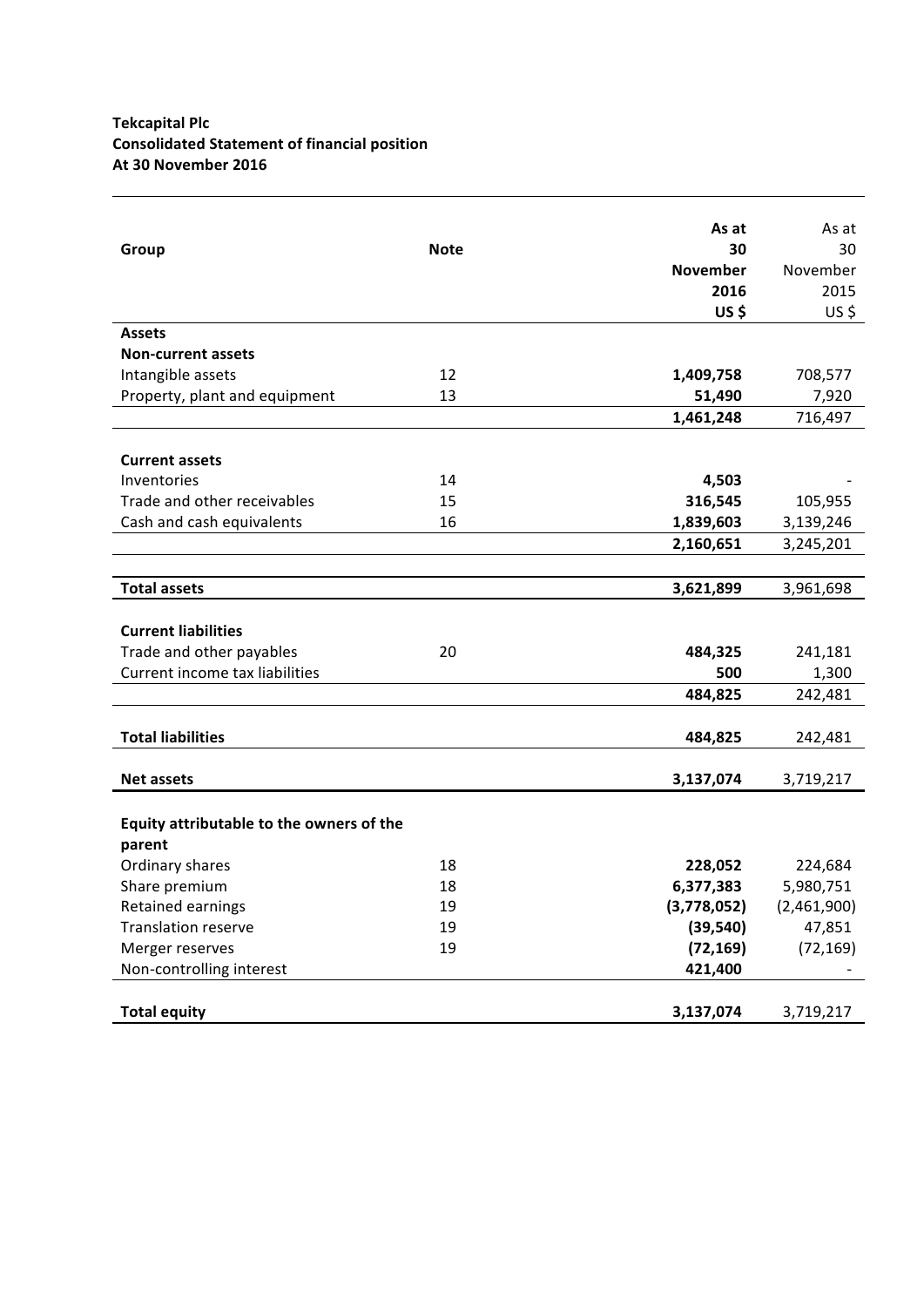# **Tekcapital Plc Consolidated Statement of financial position At 30 November 2016**

|                                          |             | As at           | As at       |
|------------------------------------------|-------------|-----------------|-------------|
| Group                                    | <b>Note</b> | 30              | 30          |
|                                          |             | <b>November</b> | November    |
|                                          |             | 2016            | 2015        |
|                                          |             | US\$            | $US$ \$     |
| <b>Assets</b>                            |             |                 |             |
| <b>Non-current assets</b>                |             |                 |             |
| Intangible assets                        | 12          | 1,409,758       | 708,577     |
| Property, plant and equipment            | 13          | 51,490          | 7,920       |
|                                          |             | 1,461,248       | 716,497     |
|                                          |             |                 |             |
| <b>Current assets</b>                    |             |                 |             |
| Inventories                              | 14          | 4,503           |             |
| Trade and other receivables              | 15          | 316,545         | 105,955     |
| Cash and cash equivalents                | 16          | 1,839,603       | 3,139,246   |
|                                          |             | 2,160,651       | 3,245,201   |
|                                          |             |                 |             |
| <b>Total assets</b>                      |             | 3,621,899       | 3,961,698   |
|                                          |             |                 |             |
| <b>Current liabilities</b>               |             |                 |             |
| Trade and other payables                 | 20          | 484,325         | 241,181     |
| Current income tax liabilities           |             | 500             | 1,300       |
|                                          |             | 484,825         | 242,481     |
|                                          |             |                 |             |
| <b>Total liabilities</b>                 |             | 484,825         | 242,481     |
| <b>Net assets</b>                        |             | 3,137,074       | 3,719,217   |
|                                          |             |                 |             |
| Equity attributable to the owners of the |             |                 |             |
| parent                                   |             |                 |             |
| Ordinary shares                          | 18          | 228,052         | 224,684     |
| Share premium                            | 18          | 6,377,383       | 5,980,751   |
| Retained earnings                        | 19          | (3,778,052)     | (2,461,900) |
| <b>Translation reserve</b>               | 19          | (39, 540)       | 47,851      |
| Merger reserves                          | 19          | (72, 169)       | (72, 169)   |
| Non-controlling interest                 |             | 421,400         |             |
|                                          |             |                 |             |
| <b>Total equity</b>                      |             | 3,137,074       | 3,719,217   |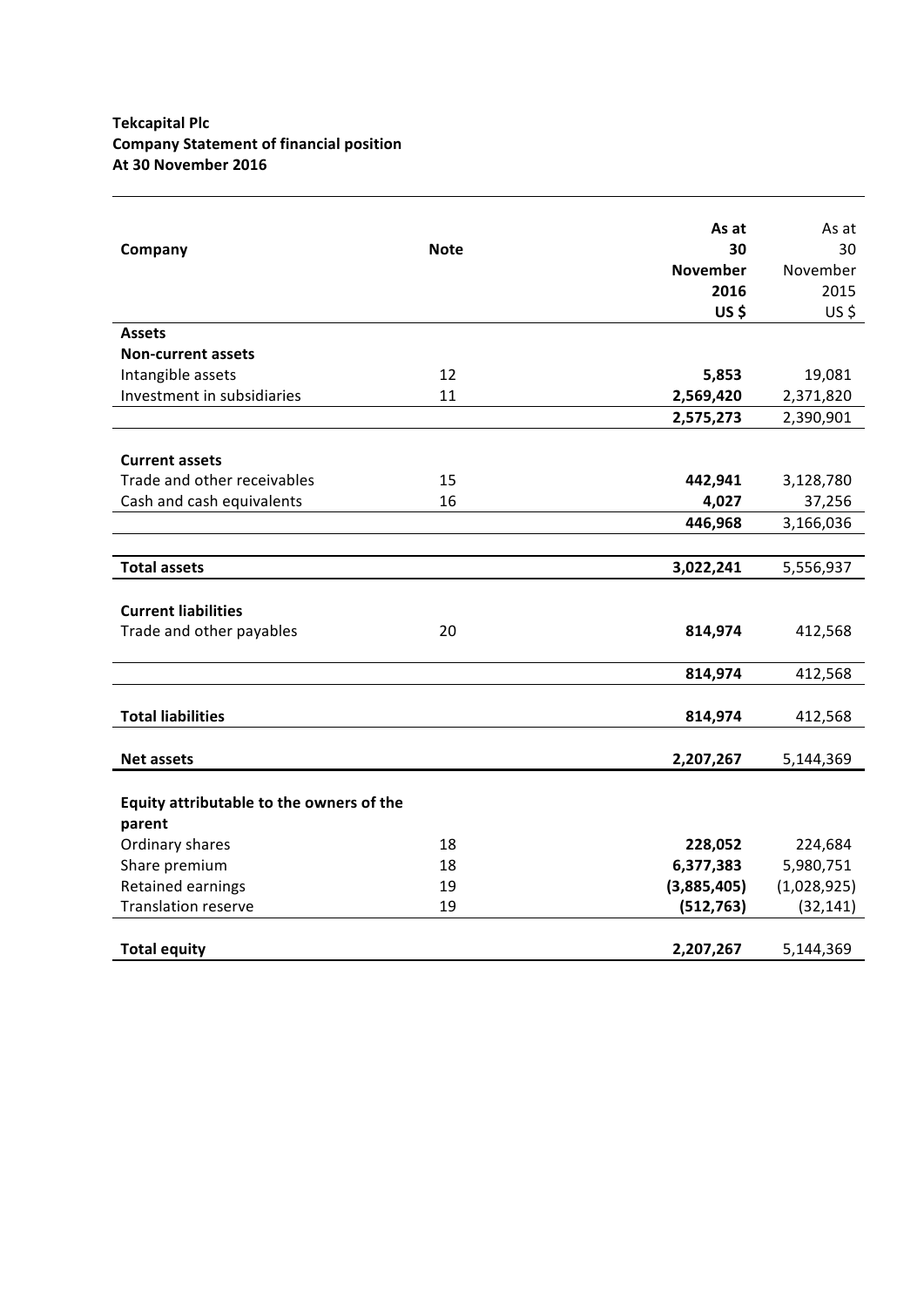# **Tekcapital Plc Company Statement of financial position At 30 November 2016**

|                                          |             | As at           | As at       |
|------------------------------------------|-------------|-----------------|-------------|
| Company                                  | <b>Note</b> | 30              | 30          |
|                                          |             | <b>November</b> | November    |
|                                          |             | 2016            | 2015        |
|                                          |             | $US$ \$         | US\$        |
| <b>Assets</b>                            |             |                 |             |
| <b>Non-current assets</b>                |             |                 |             |
| Intangible assets                        | 12          | 5,853           | 19,081      |
| Investment in subsidiaries               | 11          | 2,569,420       | 2,371,820   |
|                                          |             | 2,575,273       | 2,390,901   |
|                                          |             |                 |             |
| <b>Current assets</b>                    |             |                 |             |
| Trade and other receivables              | 15          | 442,941         | 3,128,780   |
| Cash and cash equivalents                | 16          | 4,027           | 37,256      |
|                                          |             | 446,968         | 3,166,036   |
|                                          |             |                 |             |
| <b>Total assets</b>                      |             | 3,022,241       | 5,556,937   |
|                                          |             |                 |             |
| <b>Current liabilities</b>               |             |                 |             |
| Trade and other payables                 | 20          | 814,974         | 412,568     |
|                                          |             |                 |             |
|                                          |             | 814,974         | 412,568     |
|                                          |             |                 |             |
| <b>Total liabilities</b>                 |             | 814,974         | 412,568     |
|                                          |             |                 |             |
| <b>Net assets</b>                        |             | 2,207,267       | 5,144,369   |
|                                          |             |                 |             |
| Equity attributable to the owners of the |             |                 |             |
| parent                                   |             |                 |             |
| Ordinary shares                          | 18          | 228,052         | 224,684     |
| Share premium                            | 18          | 6,377,383       | 5,980,751   |
| Retained earnings                        | 19          | (3,885,405)     | (1,028,925) |
| <b>Translation reserve</b>               | 19          | (512, 763)      | (32, 141)   |
|                                          |             |                 |             |
| <b>Total equity</b>                      |             | 2,207,267       | 5,144,369   |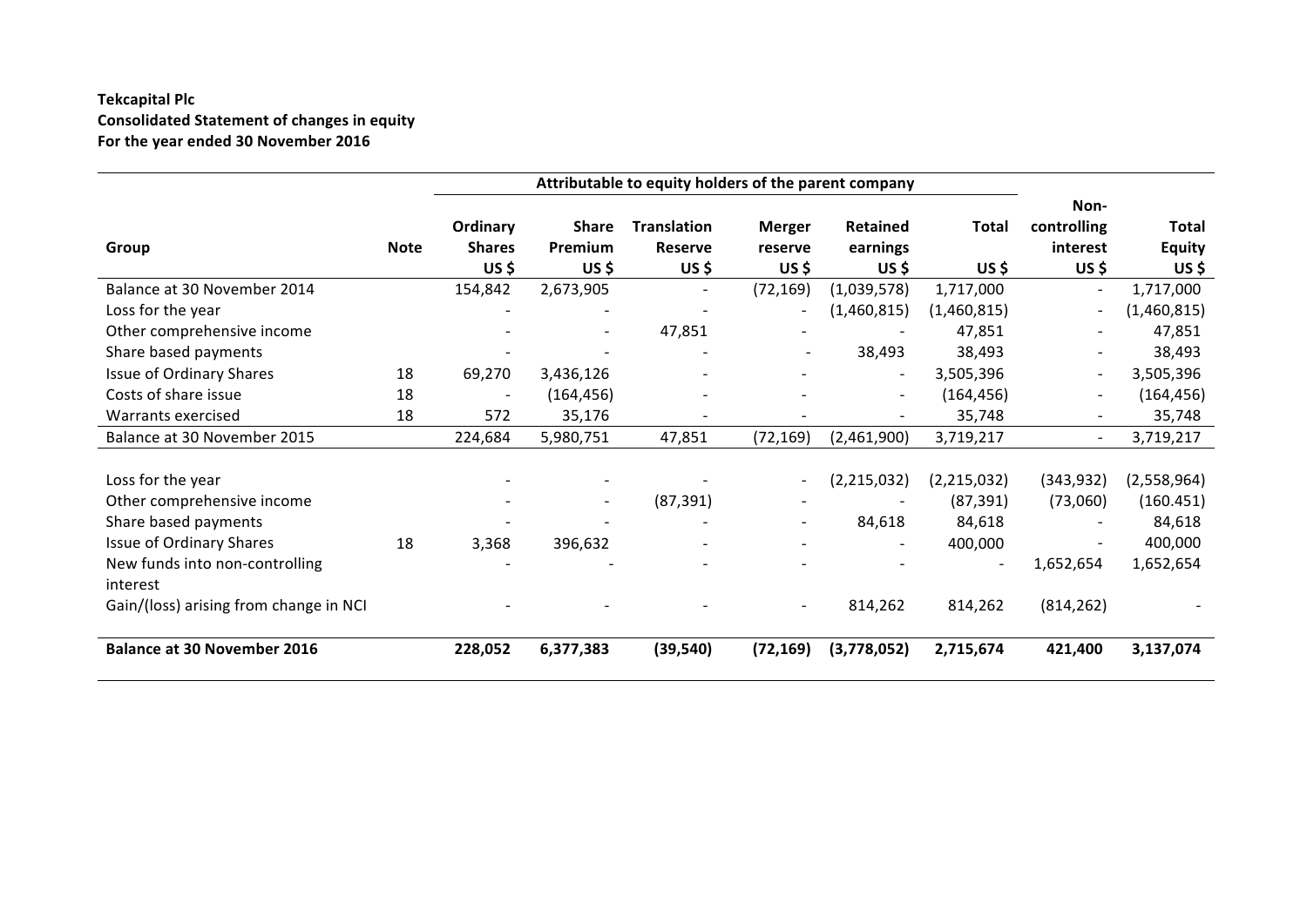# **Tekcapital Plc Consolidated Statement of changes in equity** For the year ended 30 November 2016

|                                        |             | Attributable to equity holders of the parent company |              |                          |                          |                 |                |                          |               |
|----------------------------------------|-------------|------------------------------------------------------|--------------|--------------------------|--------------------------|-----------------|----------------|--------------------------|---------------|
|                                        |             | Ordinary                                             | <b>Share</b> | <b>Translation</b>       | <b>Merger</b>            | <b>Retained</b> | <b>Total</b>   | Non-<br>controlling      | Total         |
| Group                                  | <b>Note</b> | <b>Shares</b>                                        | Premium      | <b>Reserve</b>           | reserve                  | earnings        |                | interest                 | <b>Equity</b> |
|                                        |             | US\$                                                 | US\$         | US\$                     | US\$                     | US \$           | US\$           | US \$                    | US \$         |
| Balance at 30 November 2014            |             | 154,842                                              | 2,673,905    | $\overline{\phantom{a}}$ | (72, 169)                | (1,039,578)     | 1,717,000      | $\sim$                   | 1,717,000     |
| Loss for the year                      |             |                                                      |              |                          | $\blacksquare$           | (1,460,815)     | (1,460,815)    | $\sim$                   | (1,460,815)   |
| Other comprehensive income             |             |                                                      |              | 47,851                   |                          |                 | 47,851         |                          | 47,851        |
| Share based payments                   |             |                                                      |              |                          |                          | 38,493          | 38,493         | $\overline{\phantom{a}}$ | 38,493        |
| Issue of Ordinary Shares               | 18          | 69,270                                               | 3,436,126    |                          |                          | $\sim$          | 3,505,396      | $\blacksquare$           | 3,505,396     |
| Costs of share issue                   | 18          | $\blacksquare$                                       | (164, 456)   |                          |                          |                 | (164, 456)     | $\blacksquare$           | (164, 456)    |
| Warrants exercised                     | 18          | 572                                                  | 35,176       | $\overline{\phantom{a}}$ | $\overline{a}$           |                 | 35,748         | $\blacksquare$           | 35,748        |
| Balance at 30 November 2015            |             | 224,684                                              | 5,980,751    | 47,851                   | (72, 169)                | (2,461,900)     | 3,719,217      | $\overline{\phantom{a}}$ | 3,719,217     |
|                                        |             |                                                      |              |                          |                          |                 |                |                          |               |
| Loss for the year                      |             |                                                      |              |                          | $\blacksquare$           | (2,215,032)     | (2, 215, 032)  | (343, 932)               | (2,558,964)   |
| Other comprehensive income             |             |                                                      | Ξ.           | (87, 391)                |                          |                 | (87, 391)      | (73,060)                 | (160.451)     |
| Share based payments                   |             |                                                      |              |                          | $\sim$                   | 84,618          | 84,618         |                          | 84,618        |
| Issue of Ordinary Shares               | 18          | 3,368                                                | 396,632      |                          | $\overline{\phantom{a}}$ |                 | 400,000        |                          | 400,000       |
| New funds into non-controlling         |             |                                                      |              |                          |                          |                 | $\blacksquare$ | 1,652,654                | 1,652,654     |
| interest                               |             |                                                      |              |                          |                          |                 |                |                          |               |
| Gain/(loss) arising from change in NCI |             |                                                      |              |                          |                          | 814,262         | 814,262        | (814, 262)               |               |
| <b>Balance at 30 November 2016</b>     |             | 228,052                                              | 6,377,383    | (39, 540)                | (72, 169)                | (3,778,052)     | 2,715,674      | 421,400                  | 3,137,074     |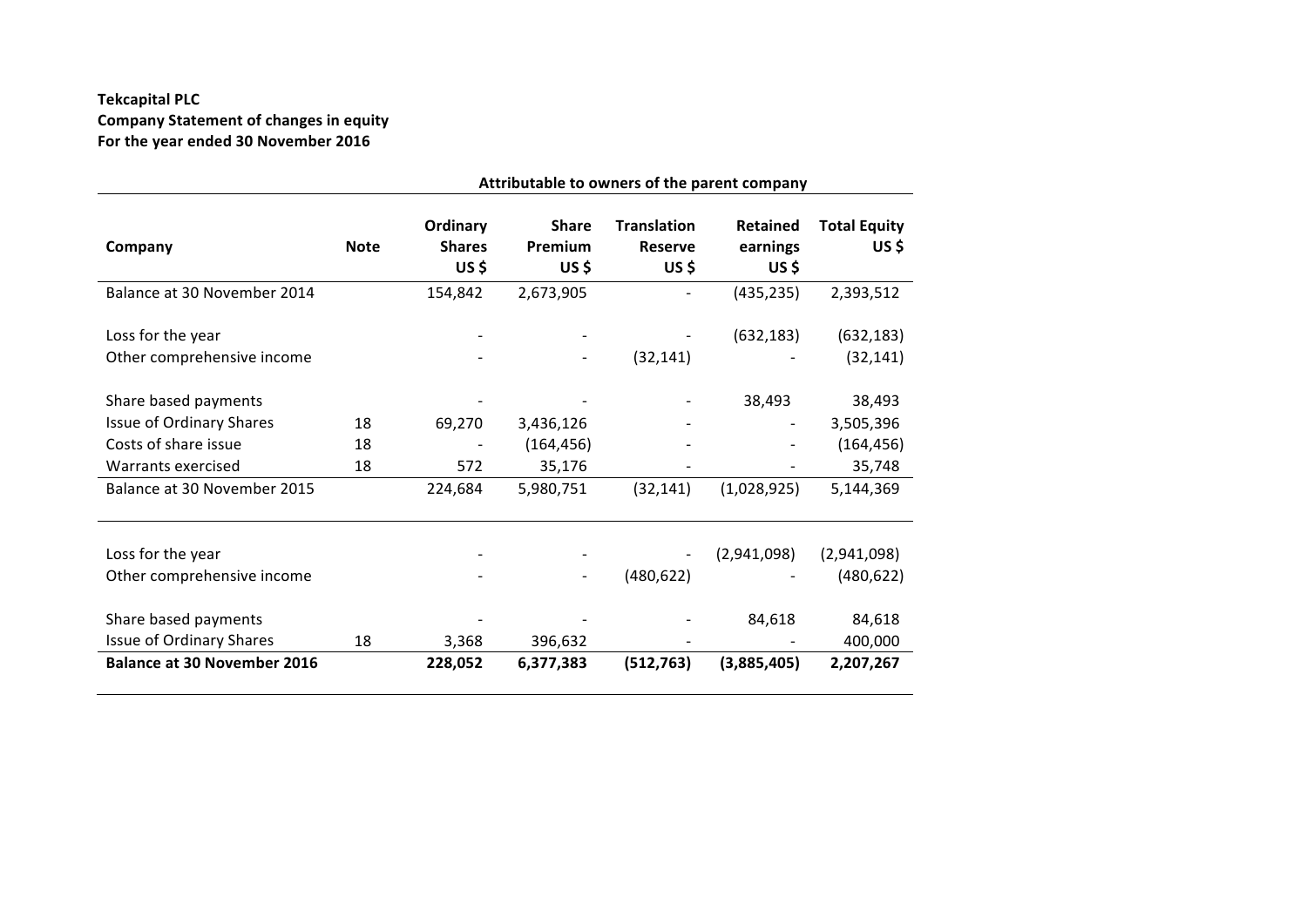# **Tekcapital PLC** Company Statement of changes in equity For the year ended 30 November 2016

|                                                  |             |                                    |                                  |                                              | Attributable to owners of the parent company |                              |
|--------------------------------------------------|-------------|------------------------------------|----------------------------------|----------------------------------------------|----------------------------------------------|------------------------------|
| Company                                          | <b>Note</b> | Ordinary<br><b>Shares</b><br>US \$ | <b>Share</b><br>Premium<br>US \$ | <b>Translation</b><br><b>Reserve</b><br>US\$ | <b>Retained</b><br>earnings<br>US \$         | <b>Total Equity</b><br>US \$ |
| Balance at 30 November 2014                      |             | 154,842                            | 2,673,905                        |                                              | (435, 235)                                   | 2,393,512                    |
| Loss for the year<br>Other comprehensive income  |             |                                    |                                  | (32, 141)                                    | (632, 183)                                   | (632, 183)<br>(32, 141)      |
| Share based payments                             |             |                                    |                                  |                                              | 38,493                                       | 38,493                       |
| Issue of Ordinary Shares                         | 18          | 69,270                             | 3,436,126                        |                                              |                                              | 3,505,396                    |
| Costs of share issue                             | 18          |                                    | (164, 456)                       |                                              |                                              | (164, 456)                   |
| Warrants exercised                               | 18          | 572                                | 35,176                           |                                              |                                              | 35,748                       |
| Balance at 30 November 2015                      |             | 224,684                            | 5,980,751                        | (32, 141)                                    | (1,028,925)                                  | 5,144,369                    |
| Loss for the year                                |             |                                    |                                  |                                              | (2,941,098)                                  | (2,941,098)                  |
| Other comprehensive income                       |             |                                    |                                  | (480, 622)                                   |                                              | (480, 622)                   |
| Share based payments<br>Issue of Ordinary Shares | 18          | 3,368                              | 396,632                          |                                              | 84,618                                       | 84,618<br>400,000            |
| <b>Balance at 30 November 2016</b>               |             | 228,052                            | 6,377,383                        | (512, 763)                                   | (3,885,405)                                  | 2,207,267                    |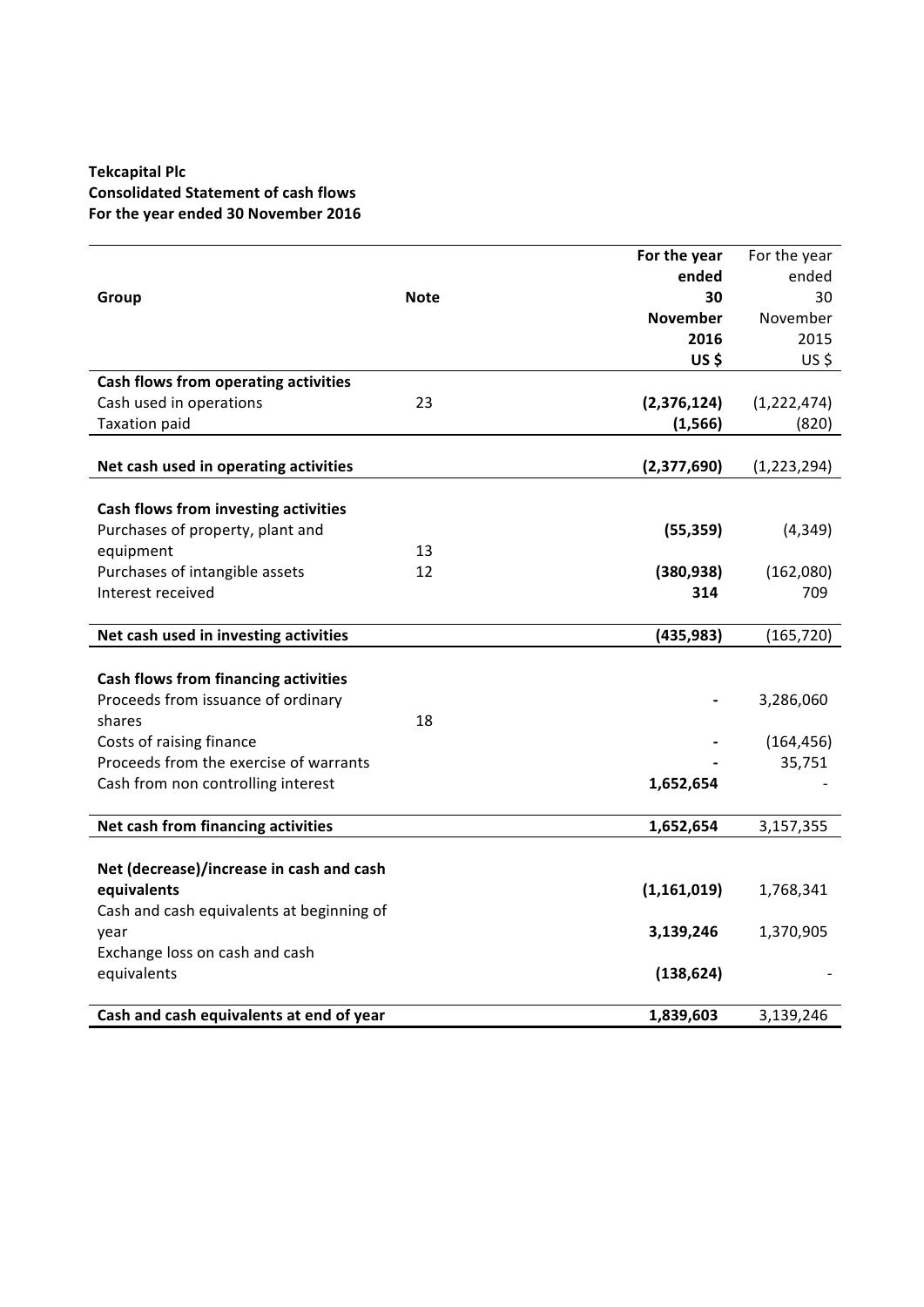# **Tekcapital Plc Consolidated Statement of cash flows** For the year ended 30 November 2016

|                                             |             | For the year    | For the year  |
|---------------------------------------------|-------------|-----------------|---------------|
|                                             |             | ended           | ended         |
| Group                                       | <b>Note</b> | 30              | 30            |
|                                             |             | <b>November</b> | November      |
|                                             |             | 2016            | 2015          |
|                                             |             | US\$            | US\$          |
| Cash flows from operating activities        |             |                 |               |
| Cash used in operations                     | 23          | (2, 376, 124)   | (1,222,474)   |
| <b>Taxation paid</b>                        |             | (1, 566)        | (820)         |
|                                             |             |                 |               |
| Net cash used in operating activities       |             | (2,377,690)     | (1, 223, 294) |
|                                             |             |                 |               |
| Cash flows from investing activities        |             |                 |               |
| Purchases of property, plant and            |             | (55, 359)       | (4, 349)      |
| equipment                                   | 13          |                 |               |
| Purchases of intangible assets              | 12          | (380, 938)      | (162,080)     |
| Interest received                           |             | 314             | 709           |
|                                             |             |                 |               |
| Net cash used in investing activities       |             | (435, 983)      | (165, 720)    |
|                                             |             |                 |               |
| <b>Cash flows from financing activities</b> |             |                 |               |
| Proceeds from issuance of ordinary          |             |                 | 3,286,060     |
| shares                                      | 18          |                 |               |
| Costs of raising finance                    |             |                 | (164, 456)    |
| Proceeds from the exercise of warrants      |             |                 | 35,751        |
| Cash from non controlling interest          |             | 1,652,654       |               |
| Net cash from financing activities          |             | 1,652,654       | 3,157,355     |
|                                             |             |                 |               |
| Net (decrease)/increase in cash and cash    |             |                 |               |
| equivalents                                 |             | (1, 161, 019)   | 1,768,341     |
| Cash and cash equivalents at beginning of   |             |                 |               |
| year                                        |             | 3,139,246       | 1,370,905     |
| Exchange loss on cash and cash              |             |                 |               |
| equivalents                                 |             | (138, 624)      |               |
|                                             |             |                 |               |
| Cash and cash equivalents at end of year    |             | 1,839,603       | 3,139,246     |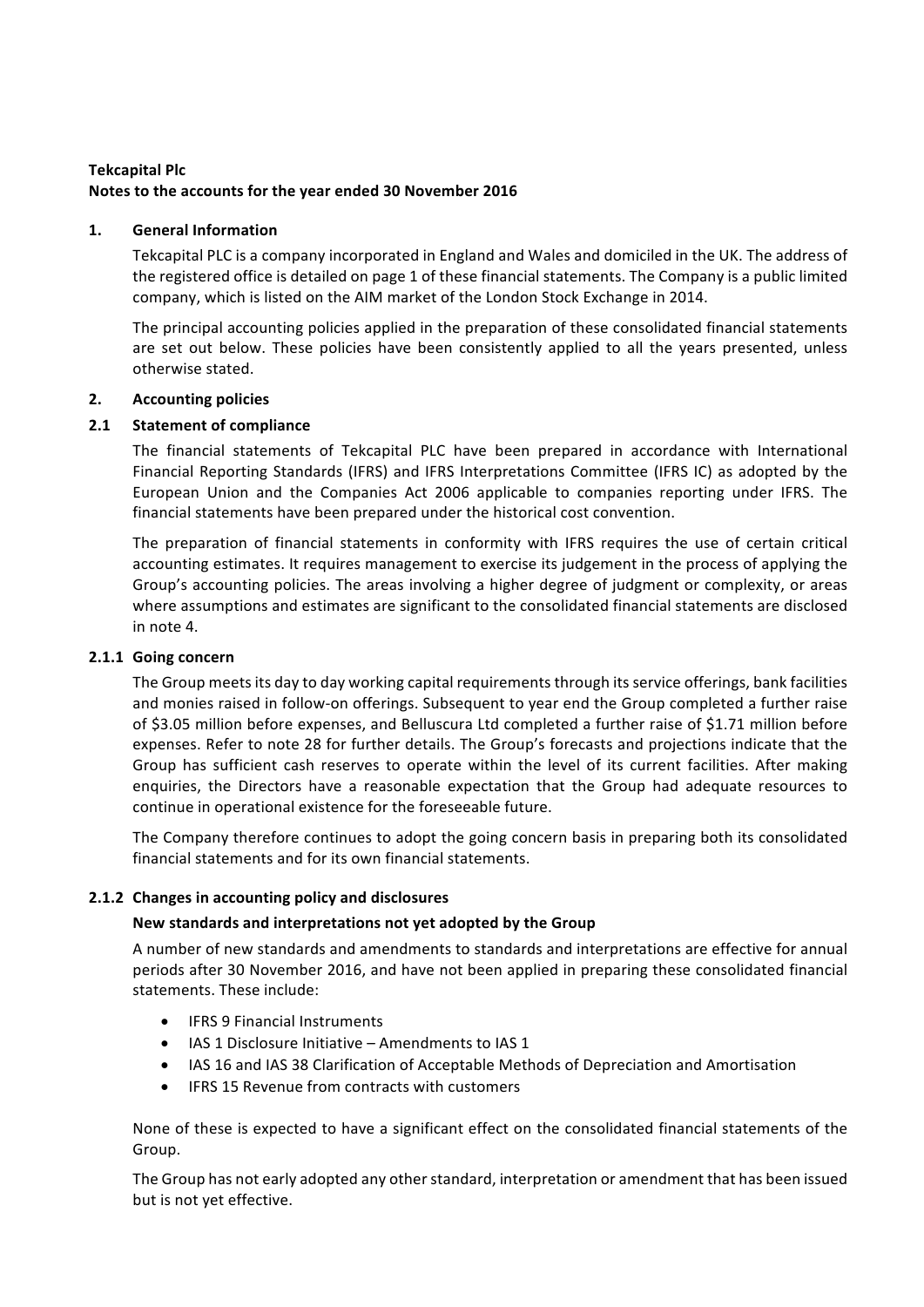# **Tekcapital Plc** Notes to the accounts for the year ended 30 November 2016

## 1. **General Information**

Tekcapital PLC is a company incorporated in England and Wales and domiciled in the UK. The address of the registered office is detailed on page 1 of these financial statements. The Company is a public limited company, which is listed on the AIM market of the London Stock Exchange in 2014.

The principal accounting policies applied in the preparation of these consolidated financial statements are set out below. These policies have been consistently applied to all the years presented, unless otherwise stated.

## **2. Accounting policies**

## **2.1 Statement of compliance**

The financial statements of Tekcapital PLC have been prepared in accordance with International Financial Reporting Standards (IFRS) and IFRS Interpretations Committee (IFRS IC) as adopted by the European Union and the Companies Act 2006 applicable to companies reporting under IFRS. The financial statements have been prepared under the historical cost convention.

The preparation of financial statements in conformity with IFRS requires the use of certain critical accounting estimates. It requires management to exercise its judgement in the process of applying the Group's accounting policies. The areas involving a higher degree of judgment or complexity, or areas where assumptions and estimates are significant to the consolidated financial statements are disclosed in note 4.

## **2.1.1 Going concern**

The Group meets its day to day working capital requirements through its service offerings, bank facilities and monies raised in follow-on offerings. Subsequent to year end the Group completed a further raise of \$3.05 million before expenses, and Belluscura Ltd completed a further raise of \$1.71 million before expenses. Refer to note 28 for further details. The Group's forecasts and projections indicate that the Group has sufficient cash reserves to operate within the level of its current facilities. After making enquiries, the Directors have a reasonable expectation that the Group had adequate resources to continue in operational existence for the foreseeable future.

The Company therefore continues to adopt the going concern basis in preparing both its consolidated financial statements and for its own financial statements.

# **2.1.2** Changes in accounting policy and disclosures

## New standards and interpretations not yet adopted by the Group

A number of new standards and amendments to standards and interpretations are effective for annual periods after 30 November 2016, and have not been applied in preparing these consolidated financial statements. These include:

- **IFRS 9 Financial Instruments**
- IAS 1 Disclosure Initiative Amendments to IAS 1
- IAS 16 and IAS 38 Clarification of Acceptable Methods of Depreciation and Amortisation
- IFRS 15 Revenue from contracts with customers

None of these is expected to have a significant effect on the consolidated financial statements of the Group.

The Group has not early adopted any other standard, interpretation or amendment that has been issued but is not yet effective.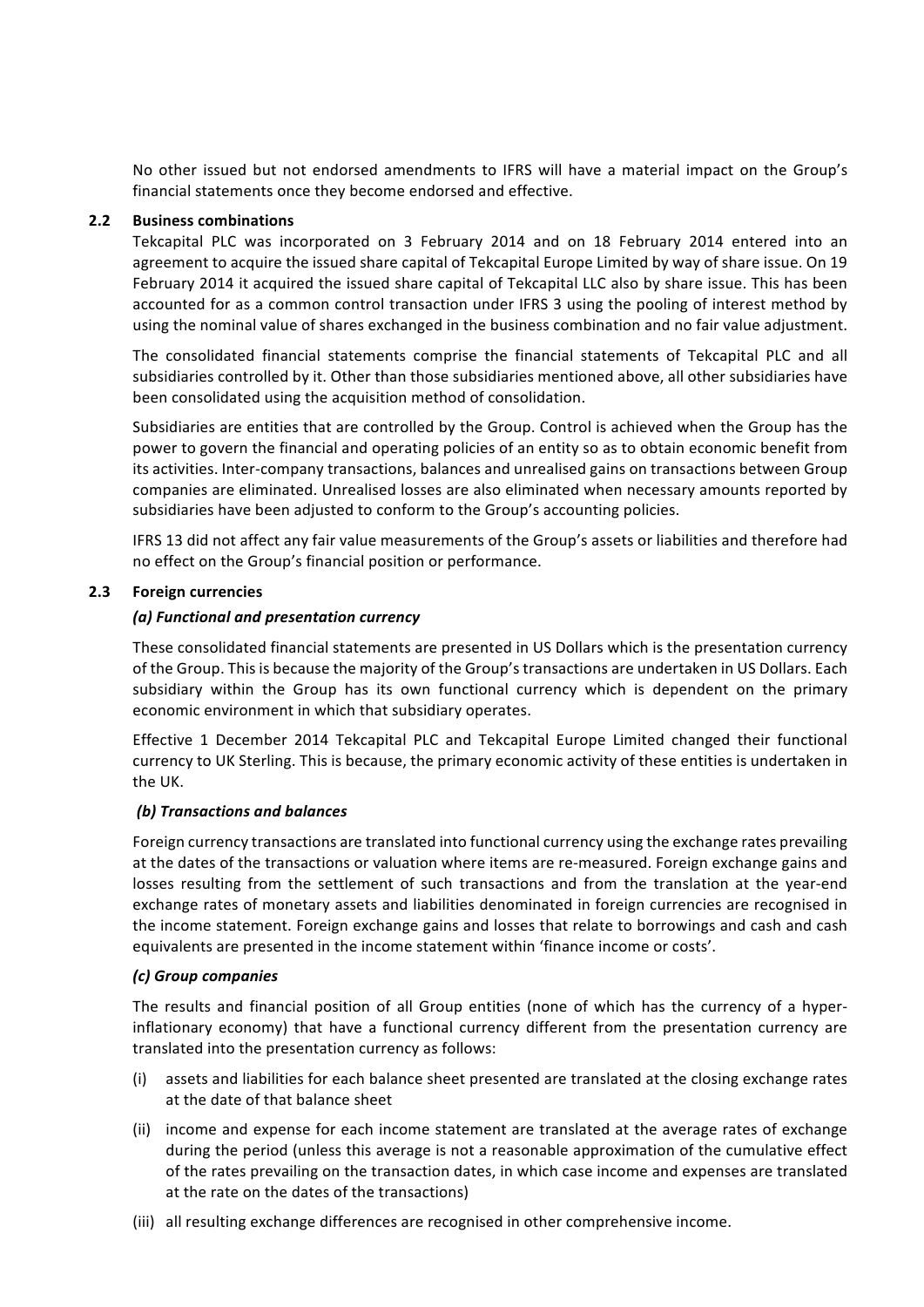No other issued but not endorsed amendments to IFRS will have a material impact on the Group's financial statements once they become endorsed and effective.

#### **2.2 Business combinations**

Tekcapital PLC was incorporated on 3 February 2014 and on 18 February 2014 entered into an agreement to acquire the issued share capital of Tekcapital Europe Limited by way of share issue. On 19 February 2014 it acquired the issued share capital of Tekcapital LLC also by share issue. This has been accounted for as a common control transaction under IFRS 3 using the pooling of interest method by using the nominal value of shares exchanged in the business combination and no fair value adjustment.

The consolidated financial statements comprise the financial statements of Tekcapital PLC and all subsidiaries controlled by it. Other than those subsidiaries mentioned above, all other subsidiaries have been consolidated using the acquisition method of consolidation.

Subsidiaries are entities that are controlled by the Group. Control is achieved when the Group has the power to govern the financial and operating policies of an entity so as to obtain economic benefit from its activities. Inter-company transactions, balances and unrealised gains on transactions between Group companies are eliminated. Unrealised losses are also eliminated when necessary amounts reported by subsidiaries have been adjusted to conform to the Group's accounting policies.

IFRS 13 did not affect any fair value measurements of the Group's assets or liabilities and therefore had no effect on the Group's financial position or performance.

#### **2.3 Foreign currencies**

#### *(a) Functional and presentation currency*

These consolidated financial statements are presented in US Dollars which is the presentation currency of the Group. This is because the majority of the Group's transactions are undertaken in US Dollars. Each subsidiary within the Group has its own functional currency which is dependent on the primary economic environment in which that subsidiary operates.

Effective 1 December 2014 Tekcapital PLC and Tekcapital Europe Limited changed their functional currency to UK Sterling. This is because, the primary economic activity of these entities is undertaken in the UK.

#### *(b) Transactions and balances*

Foreign currency transactions are translated into functional currency using the exchange rates prevailing at the dates of the transactions or valuation where items are re-measured. Foreign exchange gains and losses resulting from the settlement of such transactions and from the translation at the year-end exchange rates of monetary assets and liabilities denominated in foreign currencies are recognised in the income statement. Foreign exchange gains and losses that relate to borrowings and cash and cash equivalents are presented in the income statement within 'finance income or costs'.

#### *(c) Group companies*

The results and financial position of all Group entities (none of which has the currency of a hyperinflationary economy) that have a functional currency different from the presentation currency are translated into the presentation currency as follows:

- (i) assets and liabilities for each balance sheet presented are translated at the closing exchange rates at the date of that balance sheet
- (ii) income and expense for each income statement are translated at the average rates of exchange during the period (unless this average is not a reasonable approximation of the cumulative effect of the rates prevailing on the transaction dates, in which case income and expenses are translated at the rate on the dates of the transactions)
- (iii) all resulting exchange differences are recognised in other comprehensive income.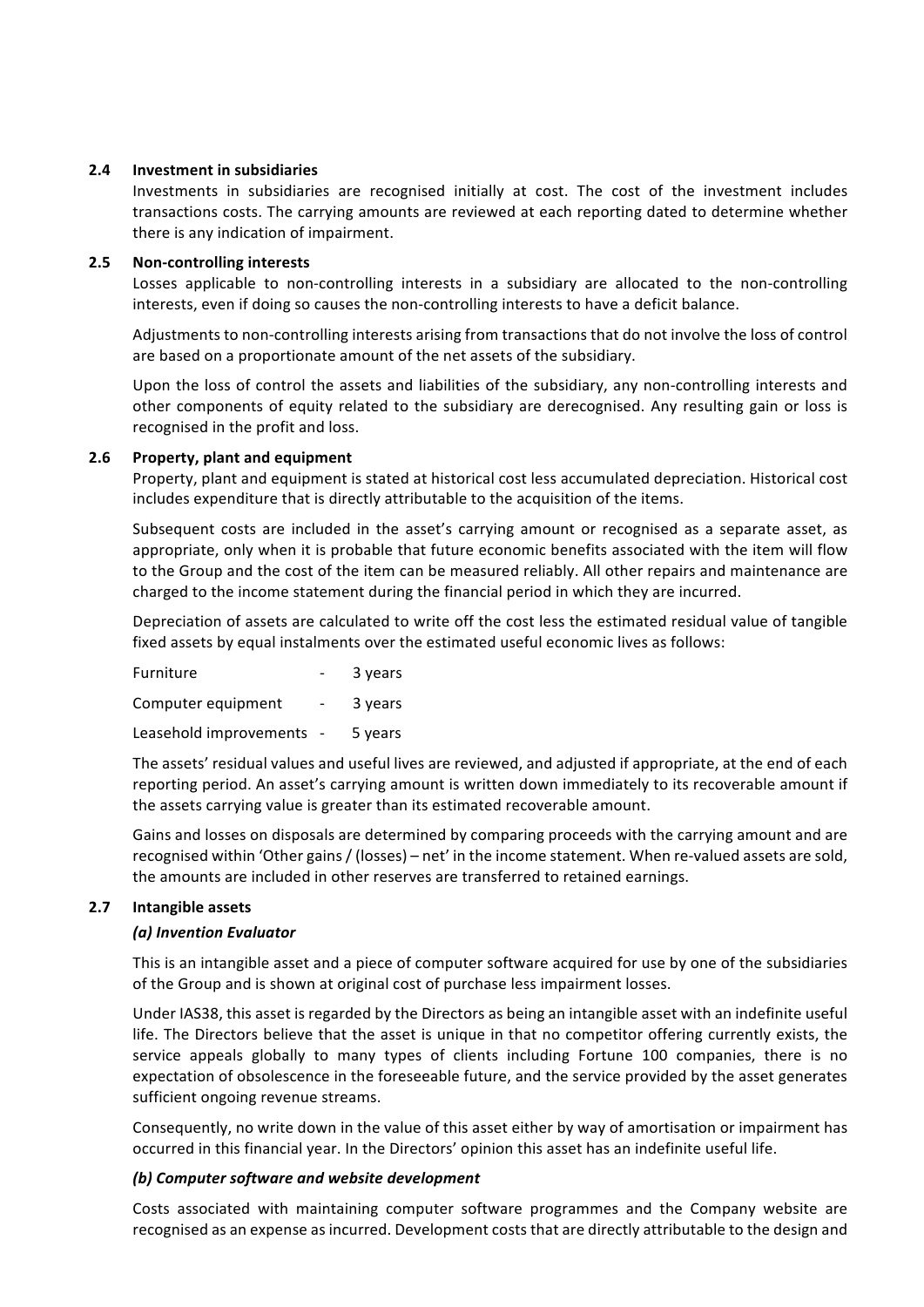#### **2.4 Investment in subsidiaries**

Investments in subsidiaries are recognised initially at cost. The cost of the investment includes transactions costs. The carrying amounts are reviewed at each reporting dated to determine whether there is any indication of impairment.

#### **2.5** Non-controlling interests

Losses applicable to non-controlling interests in a subsidiary are allocated to the non-controlling interests, even if doing so causes the non-controlling interests to have a deficit balance.

Adjustments to non-controlling interests arising from transactions that do not involve the loss of control are based on a proportionate amount of the net assets of the subsidiary.

Upon the loss of control the assets and liabilities of the subsidiary, any non-controlling interests and other components of equity related to the subsidiary are derecognised. Any resulting gain or loss is recognised in the profit and loss.

## **2.6** Property, plant and equipment

Property, plant and equipment is stated at historical cost less accumulated depreciation. Historical cost includes expenditure that is directly attributable to the acquisition of the items.

Subsequent costs are included in the asset's carrying amount or recognised as a separate asset, as appropriate, only when it is probable that future economic benefits associated with the item will flow to the Group and the cost of the item can be measured reliably. All other repairs and maintenance are charged to the income statement during the financial period in which they are incurred.

Depreciation of assets are calculated to write off the cost less the estimated residual value of tangible fixed assets by equal instalments over the estimated useful economic lives as follows:

| Furniture              |            | 3 years |
|------------------------|------------|---------|
| Computer equipment     | $\sim$     | 3 years |
| Leasehold improvements | $\sim$ $-$ | 5 years |

The assets' residual values and useful lives are reviewed, and adjusted if appropriate, at the end of each reporting period. An asset's carrying amount is written down immediately to its recoverable amount if the assets carrying value is greater than its estimated recoverable amount.

Gains and losses on disposals are determined by comparing proceeds with the carrying amount and are recognised within 'Other gains / (losses) – net' in the income statement. When re-valued assets are sold, the amounts are included in other reserves are transferred to retained earnings.

## **2.7 Intangible assets**

## *(a) Invention Evaluator*

This is an intangible asset and a piece of computer software acquired for use by one of the subsidiaries of the Group and is shown at original cost of purchase less impairment losses.

Under IAS38, this asset is regarded by the Directors as being an intangible asset with an indefinite useful life. The Directors believe that the asset is unique in that no competitor offering currently exists, the service appeals globally to many types of clients including Fortune 100 companies, there is no expectation of obsolescence in the foreseeable future, and the service provided by the asset generates sufficient ongoing revenue streams.

Consequently, no write down in the value of this asset either by way of amortisation or impairment has occurred in this financial year. In the Directors' opinion this asset has an indefinite useful life.

## **(b)** Computer software and website development

Costs associated with maintaining computer software programmes and the Company website are recognised as an expense as incurred. Development costs that are directly attributable to the design and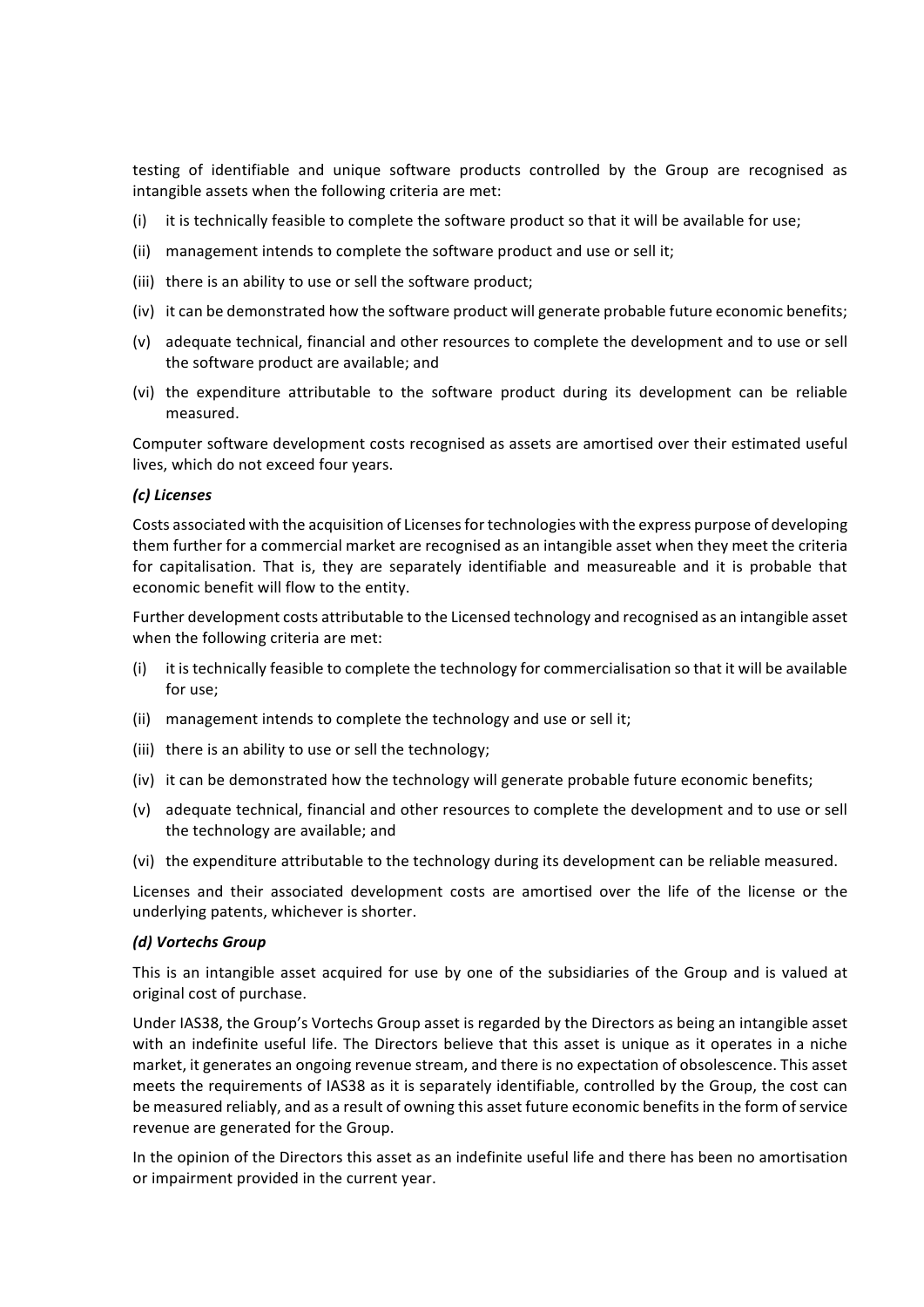testing of identifiable and unique software products controlled by the Group are recognised as intangible assets when the following criteria are met:

- (i) it is technically feasible to complete the software product so that it will be available for use;
- (ii) management intends to complete the software product and use or sell it;
- (iii) there is an ability to use or sell the software product:
- (iv) it can be demonstrated how the software product will generate probable future economic benefits;
- (v) adequate technical, financial and other resources to complete the development and to use or sell the software product are available; and
- (vi) the expenditure attributable to the software product during its development can be reliable measured.

Computer software development costs recognised as assets are amortised over their estimated useful lives, which do not exceed four years.

#### *(c) Licenses*

Costs associated with the acquisition of Licenses for technologies with the express purpose of developing them further for a commercial market are recognised as an intangible asset when they meet the criteria for capitalisation. That is, they are separately identifiable and measureable and it is probable that economic benefit will flow to the entity.

Further development costs attributable to the Licensed technology and recognised as an intangible asset when the following criteria are met:

- (i) it is technically feasible to complete the technology for commercialisation so that it will be available for use:
- (ii) management intends to complete the technology and use or sell it;
- (iii) there is an ability to use or sell the technology;
- (iv) it can be demonstrated how the technology will generate probable future economic benefits;
- (v) adequate technical, financial and other resources to complete the development and to use or sell the technology are available; and
- (vi) the expenditure attributable to the technology during its development can be reliable measured.

Licenses and their associated development costs are amortised over the life of the license or the underlying patents, whichever is shorter.

#### *(d) Vortechs Group*

This is an intangible asset acquired for use by one of the subsidiaries of the Group and is valued at original cost of purchase.

Under IAS38, the Group's Vortechs Group asset is regarded by the Directors as being an intangible asset with an indefinite useful life. The Directors believe that this asset is unique as it operates in a niche market, it generates an ongoing revenue stream, and there is no expectation of obsolescence. This asset meets the requirements of IAS38 as it is separately identifiable, controlled by the Group, the cost can be measured reliably, and as a result of owning this asset future economic benefits in the form of service revenue are generated for the Group.

In the opinion of the Directors this asset as an indefinite useful life and there has been no amortisation or impairment provided in the current year.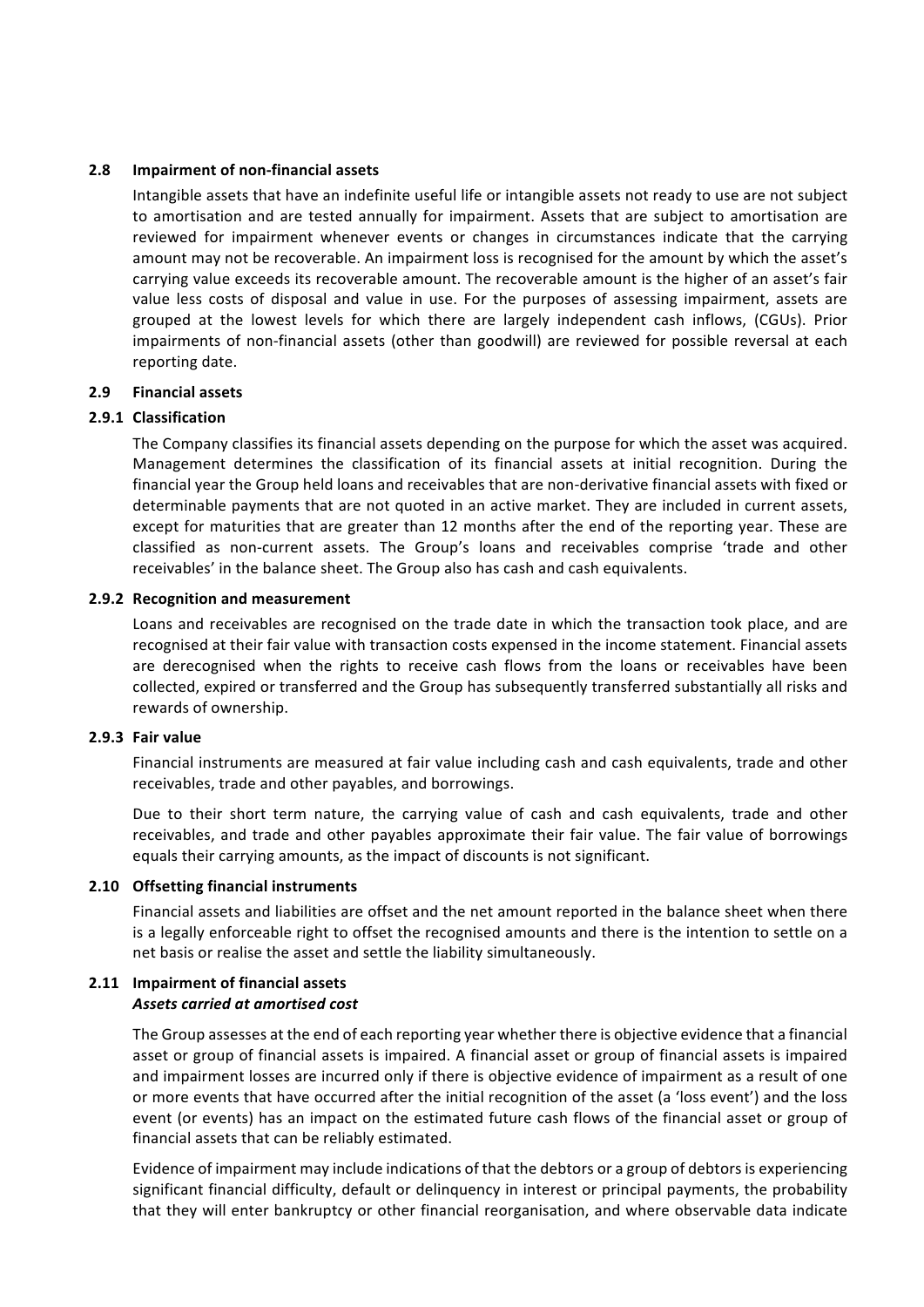#### **2.8 Impairment of non-financial assets**

Intangible assets that have an indefinite useful life or intangible assets not ready to use are not subject to amortisation and are tested annually for impairment. Assets that are subject to amortisation are reviewed for impairment whenever events or changes in circumstances indicate that the carrying amount may not be recoverable. An impairment loss is recognised for the amount by which the asset's carrying value exceeds its recoverable amount. The recoverable amount is the higher of an asset's fair value less costs of disposal and value in use. For the purposes of assessing impairment, assets are grouped at the lowest levels for which there are largely independent cash inflows, (CGUs). Prior impairments of non-financial assets (other than goodwill) are reviewed for possible reversal at each reporting date.

## **2.9 Financial assets**

## **2.9.1 Classification**

The Company classifies its financial assets depending on the purpose for which the asset was acquired. Management determines the classification of its financial assets at initial recognition. During the financial year the Group held loans and receivables that are non-derivative financial assets with fixed or determinable payments that are not quoted in an active market. They are included in current assets, except for maturities that are greater than 12 months after the end of the reporting year. These are classified as non-current assets. The Group's loans and receivables comprise 'trade and other receivables' in the balance sheet. The Group also has cash and cash equivalents.

#### **2.9.2 Recognition and measurement**

Loans and receivables are recognised on the trade date in which the transaction took place, and are recognised at their fair value with transaction costs expensed in the income statement. Financial assets are derecognised when the rights to receive cash flows from the loans or receivables have been collected, expired or transferred and the Group has subsequently transferred substantially all risks and rewards of ownership.

#### **2.9.3 Fair value**

Financial instruments are measured at fair value including cash and cash equivalents, trade and other receivables, trade and other payables, and borrowings.

Due to their short term nature, the carrying value of cash and cash equivalents, trade and other receivables, and trade and other payables approximate their fair value. The fair value of borrowings equals their carrying amounts, as the impact of discounts is not significant.

## **2.10 Offsetting financial instruments**

Financial assets and liabilities are offset and the net amount reported in the balance sheet when there is a legally enforceable right to offset the recognised amounts and there is the intention to settle on a net basis or realise the asset and settle the liability simultaneously.

#### **2.11 Impairment of financial assets** *Assets carried at amortised cost*

The Group assesses at the end of each reporting year whether there is objective evidence that a financial asset or group of financial assets is impaired. A financial asset or group of financial assets is impaired and impairment losses are incurred only if there is objective evidence of impairment as a result of one or more events that have occurred after the initial recognition of the asset (a 'loss event') and the loss event (or events) has an impact on the estimated future cash flows of the financial asset or group of financial assets that can be reliably estimated.

Evidence of impairment may include indications of that the debtors or a group of debtors is experiencing significant financial difficulty, default or delinquency in interest or principal payments, the probability that they will enter bankruptcy or other financial reorganisation, and where observable data indicate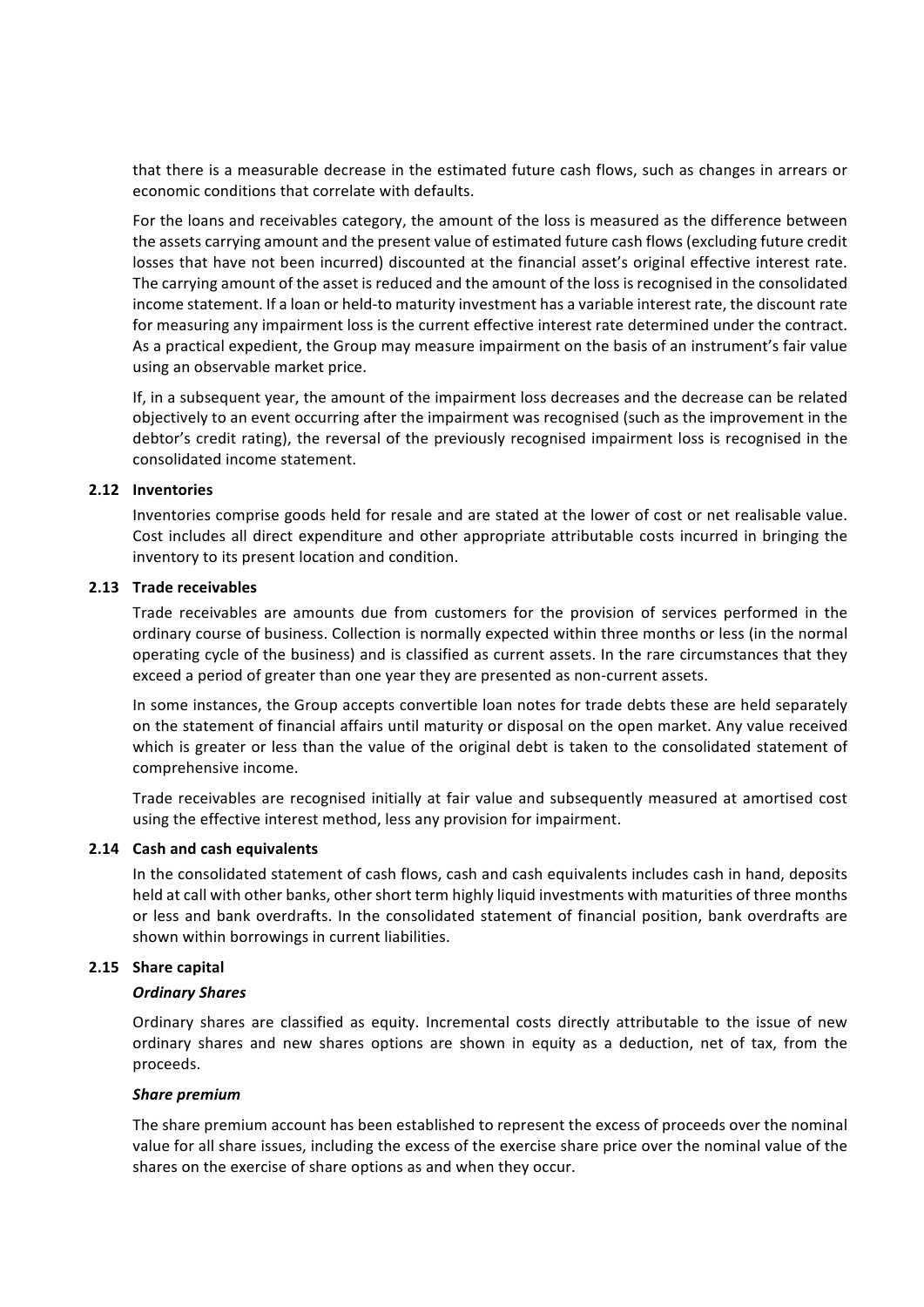that there is a measurable decrease in the estimated future cash flows, such as changes in arrears or economic conditions that correlate with defaults.

For the loans and receivables category, the amount of the loss is measured as the difference between the assets carrying amount and the present value of estimated future cash flows (excluding future credit losses that have not been incurred) discounted at the financial asset's original effective interest rate. The carrying amount of the asset is reduced and the amount of the loss is recognised in the consolidated income statement. If a loan or held-to maturity investment has a variable interest rate, the discount rate for measuring any impairment loss is the current effective interest rate determined under the contract. As a practical expedient, the Group may measure impairment on the basis of an instrument's fair value using an observable market price.

If, in a subsequent year, the amount of the impairment loss decreases and the decrease can be related objectively to an event occurring after the impairment was recognised (such as the improvement in the debtor's credit rating), the reversal of the previously recognised impairment loss is recognised in the consolidated income statement.

#### **2.12 Inventories**

Inventories comprise goods held for resale and are stated at the lower of cost or net realisable value. Cost includes all direct expenditure and other appropriate attributable costs incurred in bringing the inventory to its present location and condition.

#### **2.13** Trade receivables

Trade receivables are amounts due from customers for the provision of services performed in the ordinary course of business. Collection is normally expected within three months or less (in the normal operating cycle of the business) and is classified as current assets. In the rare circumstances that they exceed a period of greater than one year they are presented as non-current assets.

In some instances, the Group accepts convertible loan notes for trade debts these are held separately on the statement of financial affairs until maturity or disposal on the open market. Any value received which is greater or less than the value of the original debt is taken to the consolidated statement of comprehensive income.

Trade receivables are recognised initially at fair value and subsequently measured at amortised cost using the effective interest method, less any provision for impairment.

## **2.14 Cash and cash equivalents**

In the consolidated statement of cash flows, cash and cash equivalents includes cash in hand, deposits held at call with other banks, other short term highly liquid investments with maturities of three months or less and bank overdrafts. In the consolidated statement of financial position, bank overdrafts are shown within borrowings in current liabilities.

## **2.15** Share capital

## *Ordinary Shares*

Ordinary shares are classified as equity. Incremental costs directly attributable to the issue of new ordinary shares and new shares options are shown in equity as a deduction, net of tax, from the proceeds.

#### *Share premium*

The share premium account has been established to represent the excess of proceeds over the nominal value for all share issues, including the excess of the exercise share price over the nominal value of the shares on the exercise of share options as and when they occur.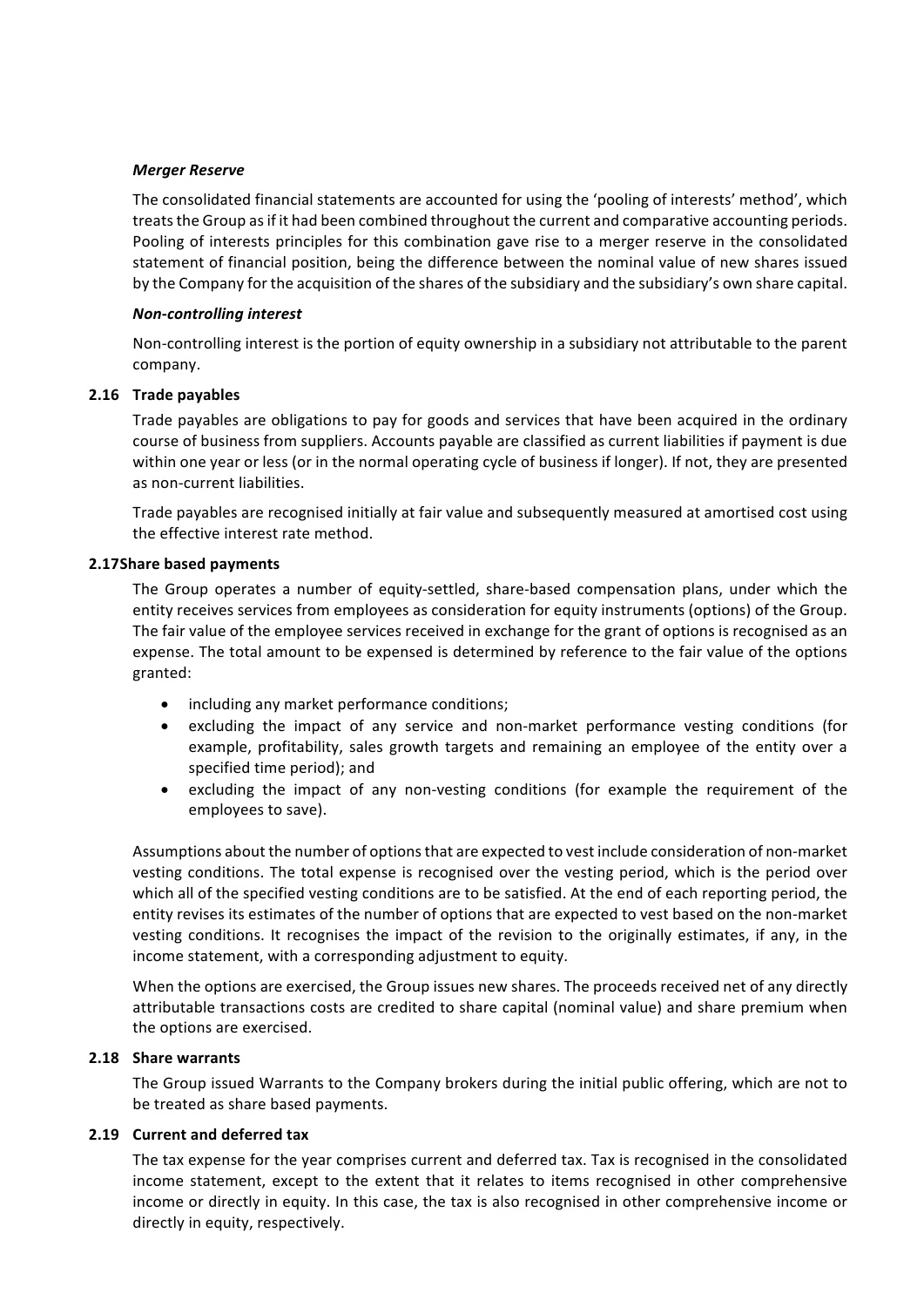#### *Merger Reserve*

The consolidated financial statements are accounted for using the 'pooling of interests' method', which treats the Group as if it had been combined throughout the current and comparative accounting periods. Pooling of interests principles for this combination gave rise to a merger reserve in the consolidated statement of financial position, being the difference between the nominal value of new shares issued by the Company for the acquisition of the shares of the subsidiary and the subsidiary's own share capital.

#### *Non-controlling interest*

Non-controlling interest is the portion of equity ownership in a subsidiary not attributable to the parent company. 

#### **2.16 Trade payables**

Trade payables are obligations to pay for goods and services that have been acquired in the ordinary course of business from suppliers. Accounts payable are classified as current liabilities if payment is due within one year or less (or in the normal operating cycle of business if longer). If not, they are presented as non-current liabilities.

Trade payables are recognised initially at fair value and subsequently measured at amortised cost using the effective interest rate method.

#### **2.17Share based payments**

The Group operates a number of equity-settled, share-based compensation plans, under which the entity receives services from employees as consideration for equity instruments (options) of the Group. The fair value of the employee services received in exchange for the grant of options is recognised as an expense. The total amount to be expensed is determined by reference to the fair value of the options granted:

- including any market performance conditions;
- excluding the impact of any service and non-market performance vesting conditions (for example, profitability, sales growth targets and remaining an employee of the entity over a specified time period); and
- excluding the impact of any non-vesting conditions (for example the requirement of the employees to save).

Assumptions about the number of options that are expected to vest include consideration of non-market vesting conditions. The total expense is recognised over the vesting period, which is the period over which all of the specified vesting conditions are to be satisfied. At the end of each reporting period, the entity revises its estimates of the number of options that are expected to vest based on the non-market vesting conditions. It recognises the impact of the revision to the originally estimates, if any, in the income statement, with a corresponding adjustment to equity.

When the options are exercised, the Group issues new shares. The proceeds received net of any directly attributable transactions costs are credited to share capital (nominal value) and share premium when the options are exercised.

## **2.18 Share warrants**

The Group issued Warrants to the Company brokers during the initial public offering, which are not to be treated as share based payments.

## **2.19 Current and deferred tax**

The tax expense for the year comprises current and deferred tax. Tax is recognised in the consolidated income statement, except to the extent that it relates to items recognised in other comprehensive income or directly in equity. In this case, the tax is also recognised in other comprehensive income or directly in equity, respectively.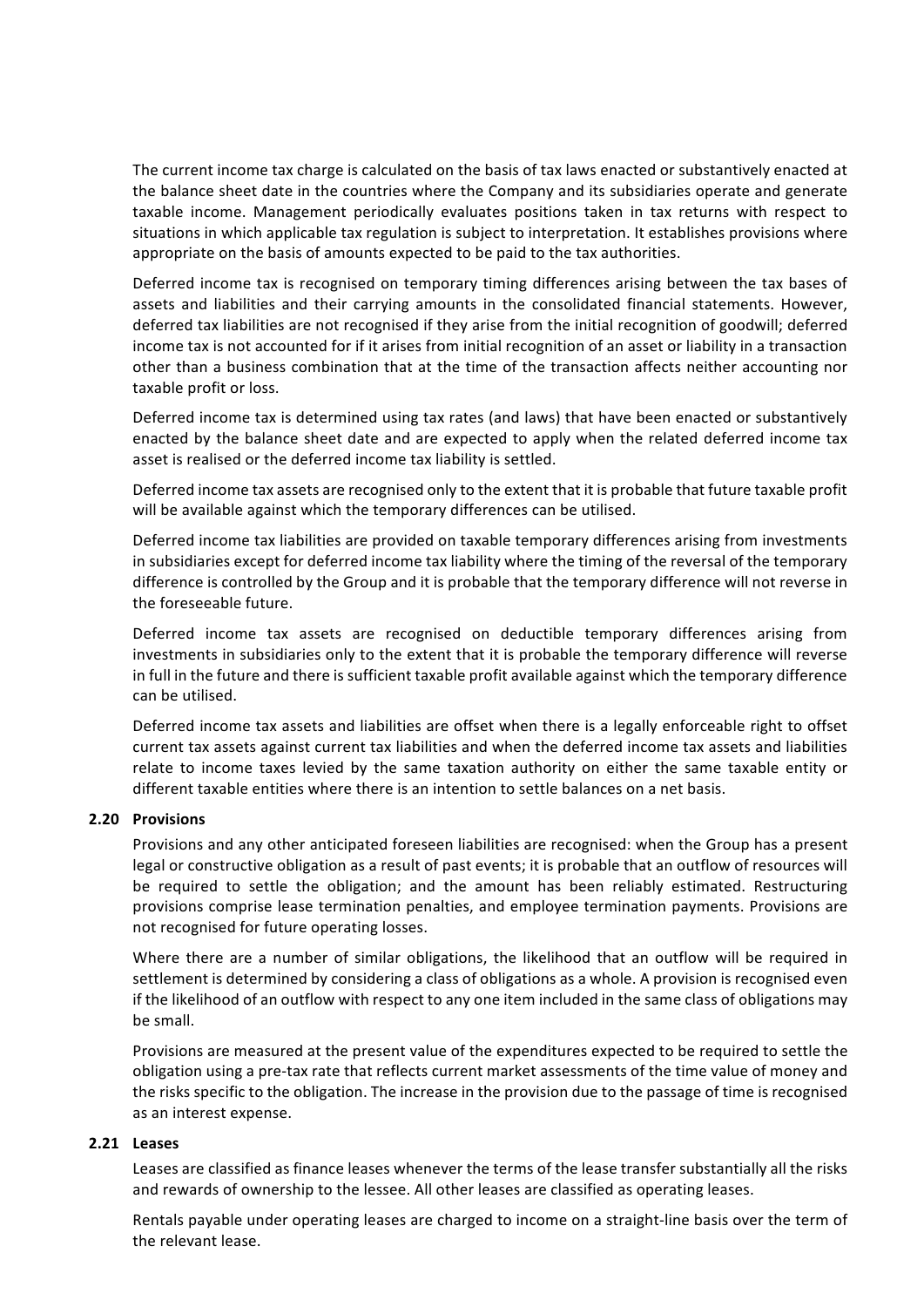The current income tax charge is calculated on the basis of tax laws enacted or substantively enacted at the balance sheet date in the countries where the Company and its subsidiaries operate and generate taxable income. Management periodically evaluates positions taken in tax returns with respect to situations in which applicable tax regulation is subject to interpretation. It establishes provisions where appropriate on the basis of amounts expected to be paid to the tax authorities.

Deferred income tax is recognised on temporary timing differences arising between the tax bases of assets and liabilities and their carrying amounts in the consolidated financial statements. However, deferred tax liabilities are not recognised if they arise from the initial recognition of goodwill; deferred income tax is not accounted for if it arises from initial recognition of an asset or liability in a transaction other than a business combination that at the time of the transaction affects neither accounting nor taxable profit or loss.

Deferred income tax is determined using tax rates (and laws) that have been enacted or substantively enacted by the balance sheet date and are expected to apply when the related deferred income tax asset is realised or the deferred income tax liability is settled.

Deferred income tax assets are recognised only to the extent that it is probable that future taxable profit will be available against which the temporary differences can be utilised.

Deferred income tax liabilities are provided on taxable temporary differences arising from investments in subsidiaries except for deferred income tax liability where the timing of the reversal of the temporary difference is controlled by the Group and it is probable that the temporary difference will not reverse in the foreseeable future.

Deferred income tax assets are recognised on deductible temporary differences arising from investments in subsidiaries only to the extent that it is probable the temporary difference will reverse in full in the future and there is sufficient taxable profit available against which the temporary difference can be utilised.

Deferred income tax assets and liabilities are offset when there is a legally enforceable right to offset current tax assets against current tax liabilities and when the deferred income tax assets and liabilities relate to income taxes levied by the same taxation authority on either the same taxable entity or different taxable entities where there is an intention to settle balances on a net basis.

## **2.20 Provisions**

Provisions and any other anticipated foreseen liabilities are recognised: when the Group has a present legal or constructive obligation as a result of past events; it is probable that an outflow of resources will be required to settle the obligation; and the amount has been reliably estimated. Restructuring provisions comprise lease termination penalties, and employee termination payments. Provisions are not recognised for future operating losses.

Where there are a number of similar obligations, the likelihood that an outflow will be required in settlement is determined by considering a class of obligations as a whole. A provision is recognised even if the likelihood of an outflow with respect to any one item included in the same class of obligations may be small.

Provisions are measured at the present value of the expenditures expected to be required to settle the obligation using a pre-tax rate that reflects current market assessments of the time value of money and the risks specific to the obligation. The increase in the provision due to the passage of time is recognised as an interest expense.

#### **2.21 Leases**

Leases are classified as finance leases whenever the terms of the lease transfer substantially all the risks and rewards of ownership to the lessee. All other leases are classified as operating leases.

Rentals payable under operating leases are charged to income on a straight-line basis over the term of the relevant lease.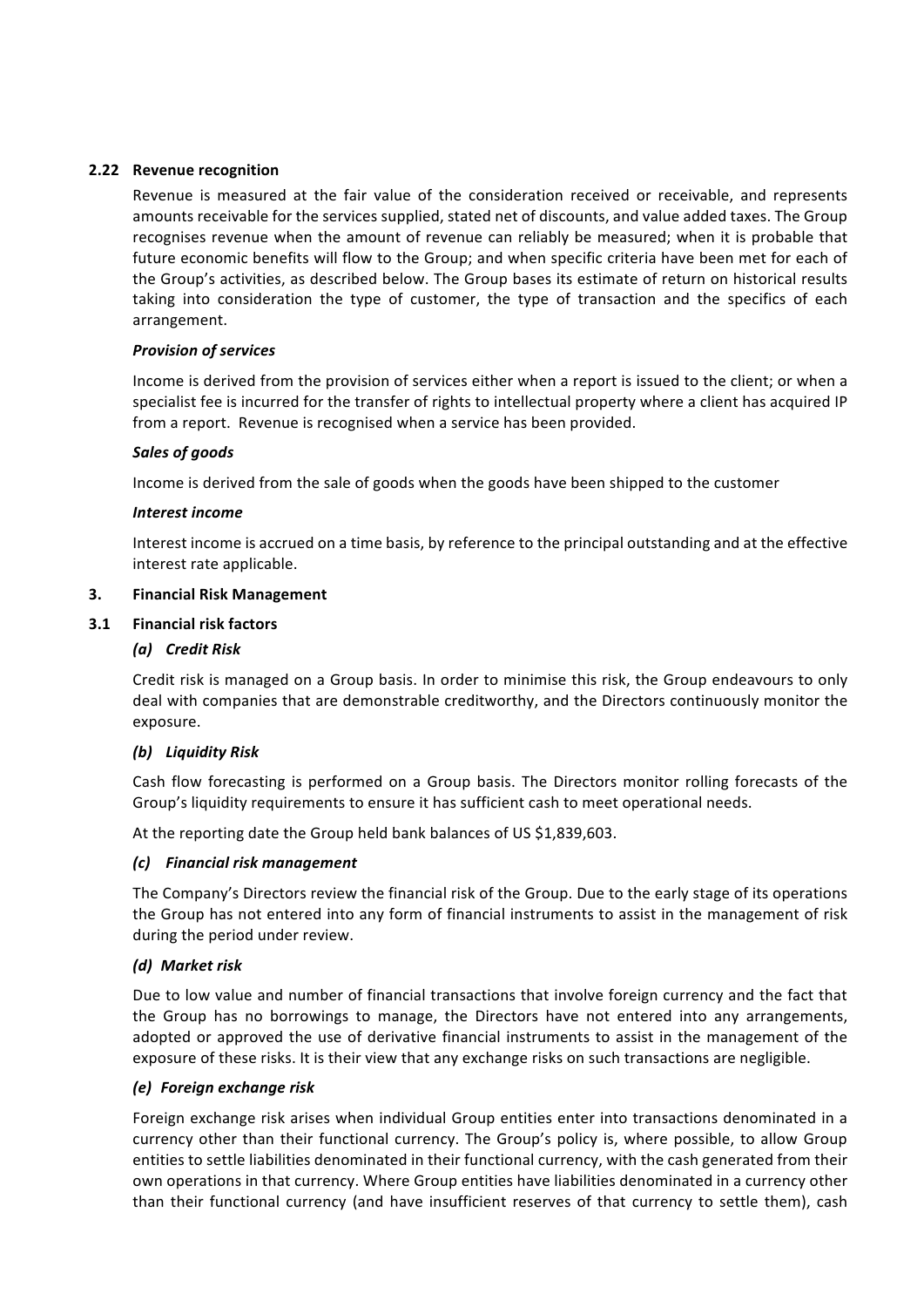## **2.22** Revenue recognition

Revenue is measured at the fair value of the consideration received or receivable, and represents amounts receivable for the services supplied, stated net of discounts, and value added taxes. The Group recognises revenue when the amount of revenue can reliably be measured; when it is probable that future economic benefits will flow to the Group; and when specific criteria have been met for each of the Group's activities, as described below. The Group bases its estimate of return on historical results taking into consideration the type of customer, the type of transaction and the specifics of each arrangement.

## *Provision of services*

Income is derived from the provision of services either when a report is issued to the client; or when a specialist fee is incurred for the transfer of rights to intellectual property where a client has acquired IP from a report. Revenue is recognised when a service has been provided.

## *Sales of goods*

Income is derived from the sale of goods when the goods have been shipped to the customer

## *Interest income*

Interest income is accrued on a time basis, by reference to the principal outstanding and at the effective interest rate applicable.

## **3. Financial Risk Management**

## **3.1 Financial risk factors**

## *(a) Credit Risk*

Credit risk is managed on a Group basis. In order to minimise this risk, the Group endeavours to only deal with companies that are demonstrable creditworthy, and the Directors continuously monitor the exposure. 

## *(b) Liquidity Risk*

Cash flow forecasting is performed on a Group basis. The Directors monitor rolling forecasts of the Group's liquidity requirements to ensure it has sufficient cash to meet operational needs.

At the reporting date the Group held bank balances of US \$1,839,603.

## *(c) Financial risk management*

The Company's Directors review the financial risk of the Group. Due to the early stage of its operations the Group has not entered into any form of financial instruments to assist in the management of risk during the period under review.

## *(d) Market risk*

Due to low value and number of financial transactions that involve foreign currency and the fact that the Group has no borrowings to manage, the Directors have not entered into any arrangements, adopted or approved the use of derivative financial instruments to assist in the management of the exposure of these risks. It is their view that any exchange risks on such transactions are negligible.

## *(e) Foreign exchange risk*

Foreign exchange risk arises when individual Group entities enter into transactions denominated in a currency other than their functional currency. The Group's policy is, where possible, to allow Group entities to settle liabilities denominated in their functional currency, with the cash generated from their own operations in that currency. Where Group entities have liabilities denominated in a currency other than their functional currency (and have insufficient reserves of that currency to settle them), cash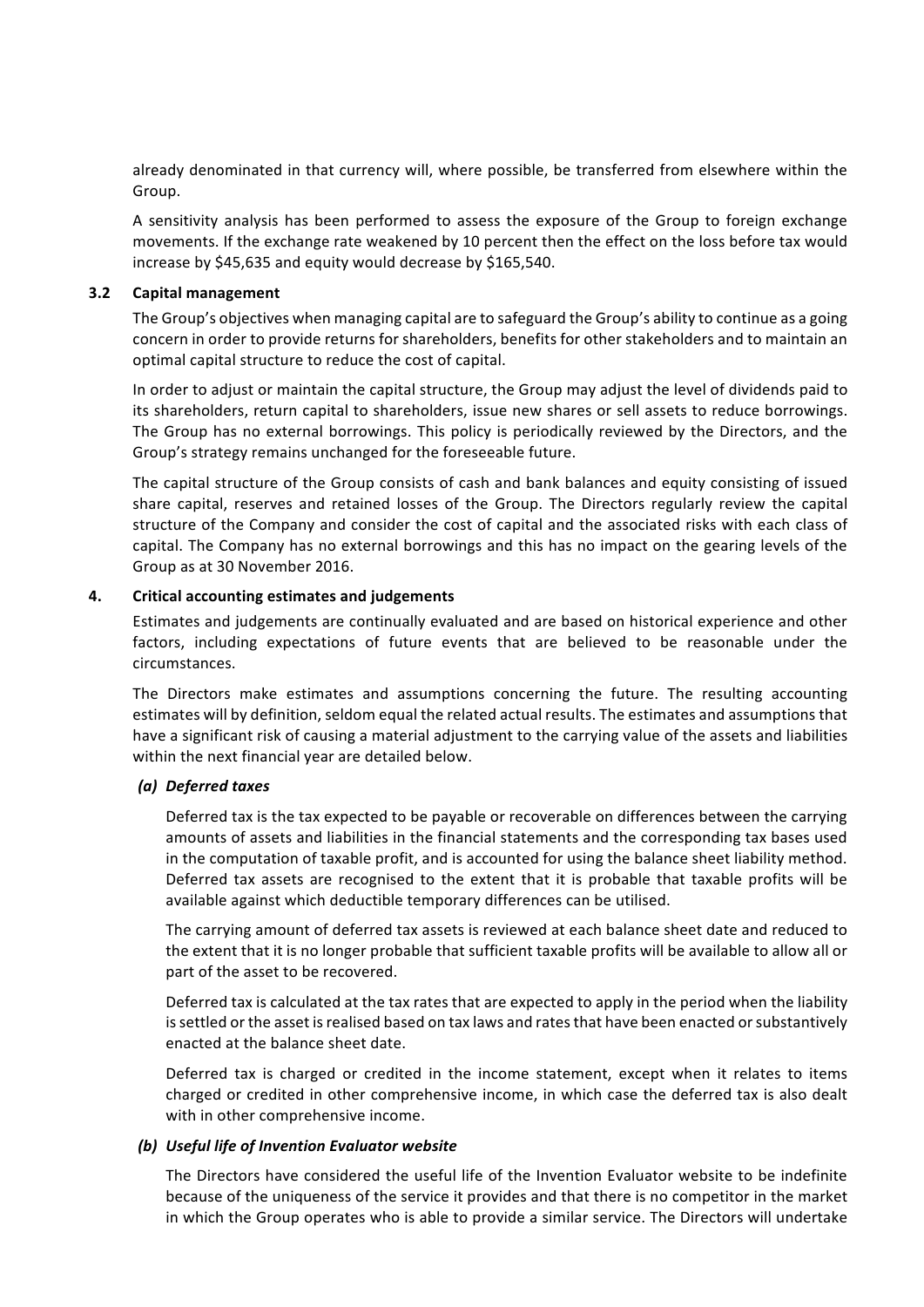already denominated in that currency will, where possible, be transferred from elsewhere within the Group. 

A sensitivity analysis has been performed to assess the exposure of the Group to foreign exchange movements. If the exchange rate weakened by 10 percent then the effect on the loss before tax would increase by \$45,635 and equity would decrease by \$165,540.

#### **3.2 Capital management**

The Group's objectives when managing capital are to safeguard the Group's ability to continue as a going concern in order to provide returns for shareholders, benefits for other stakeholders and to maintain an optimal capital structure to reduce the cost of capital.

In order to adjust or maintain the capital structure, the Group may adjust the level of dividends paid to its shareholders, return capital to shareholders, issue new shares or sell assets to reduce borrowings. The Group has no external borrowings. This policy is periodically reviewed by the Directors, and the Group's strategy remains unchanged for the foreseeable future.

The capital structure of the Group consists of cash and bank balances and equity consisting of issued share capital, reserves and retained losses of the Group. The Directors regularly review the capital structure of the Company and consider the cost of capital and the associated risks with each class of capital. The Company has no external borrowings and this has no impact on the gearing levels of the Group as at 30 November 2016.

## **4.** Critical accounting estimates and judgements

Estimates and judgements are continually evaluated and are based on historical experience and other factors, including expectations of future events that are believed to be reasonable under the circumstances.

The Directors make estimates and assumptions concerning the future. The resulting accounting estimates will by definition, seldom equal the related actual results. The estimates and assumptions that have a significant risk of causing a material adjustment to the carrying value of the assets and liabilities within the next financial year are detailed below.

## *(a) Deferred taxes*

Deferred tax is the tax expected to be payable or recoverable on differences between the carrying amounts of assets and liabilities in the financial statements and the corresponding tax bases used in the computation of taxable profit, and is accounted for using the balance sheet liability method. Deferred tax assets are recognised to the extent that it is probable that taxable profits will be available against which deductible temporary differences can be utilised.

The carrying amount of deferred tax assets is reviewed at each balance sheet date and reduced to the extent that it is no longer probable that sufficient taxable profits will be available to allow all or part of the asset to be recovered.

Deferred tax is calculated at the tax rates that are expected to apply in the period when the liability is settled or the asset is realised based on tax laws and rates that have been enacted or substantively enacted at the balance sheet date.

Deferred tax is charged or credited in the income statement, except when it relates to items charged or credited in other comprehensive income, in which case the deferred tax is also dealt with in other comprehensive income.

## *(b)* Useful life of Invention Evaluator website

The Directors have considered the useful life of the Invention Evaluator website to be indefinite because of the uniqueness of the service it provides and that there is no competitor in the market in which the Group operates who is able to provide a similar service. The Directors will undertake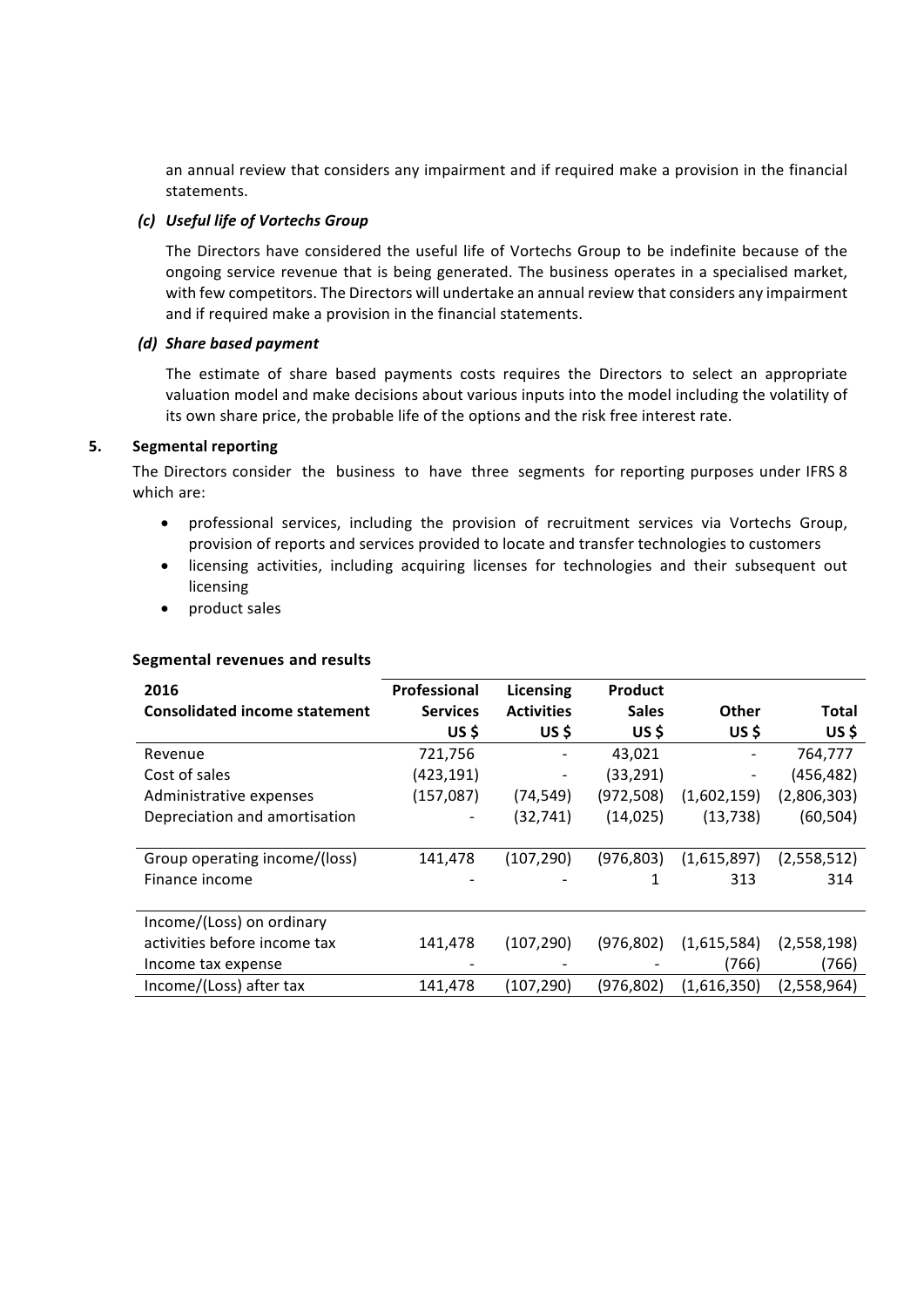an annual review that considers any impairment and if required make a provision in the financial statements.

#### *(c) Useful life of Vortechs Group*

The Directors have considered the useful life of Vortechs Group to be indefinite because of the ongoing service revenue that is being generated. The business operates in a specialised market, with few competitors. The Directors will undertake an annual review that considers any impairment and if required make a provision in the financial statements.

#### *(d) Share based payment*

The estimate of share based payments costs requires the Directors to select an appropriate valuation model and make decisions about various inputs into the model including the volatility of its own share price, the probable life of the options and the risk free interest rate.

#### **5.** Segmental reporting

The Directors consider the business to have three segments for reporting purposes under IFRS 8 which are:

- professional services, including the provision of recruitment services via Vortechs Group, provision of reports and services provided to locate and transfer technologies to customers
- licensing activities, including acquiring licenses for technologies and their subsequent out licensing
- product sales

#### **Segmental revenues and results**

| 2016                                 | Professional    | Licensing         | <b>Product</b> |             |              |
|--------------------------------------|-----------------|-------------------|----------------|-------------|--------------|
| <b>Consolidated income statement</b> | <b>Services</b> | <b>Activities</b> | <b>Sales</b>   | Other       | <b>Total</b> |
|                                      | US\$            | US \$             | US\$           | US\$        | US\$         |
| Revenue                              | 721,756         |                   | 43,021         |             | 764,777      |
| Cost of sales                        | (423,191)       |                   | (33, 291)      |             | (456, 482)   |
| Administrative expenses              | (157,087)       | (74, 549)         | (972, 508)     | (1,602,159) | (2,806,303)  |
| Depreciation and amortisation        |                 | (32, 741)         | (14, 025)      | (13, 738)   | (60, 504)    |
|                                      |                 |                   |                |             |              |
| Group operating income/(loss)        | 141,478         | (107, 290)        | (976,803)      | (1,615,897) | (2,558,512)  |
| Finance income                       |                 |                   |                | 313         | 314          |
|                                      |                 |                   |                |             |              |
| Income/(Loss) on ordinary            |                 |                   |                |             |              |
| activities before income tax         | 141,478         | (107, 290)        | (976, 802)     | (1,615,584) | (2,558,198)  |
| Income tax expense                   |                 |                   |                | (766)       | (766)        |
| Income/(Loss) after tax              | 141,478         | (107, 290)        | (976, 802)     | (1,616,350) | (2,558,964)  |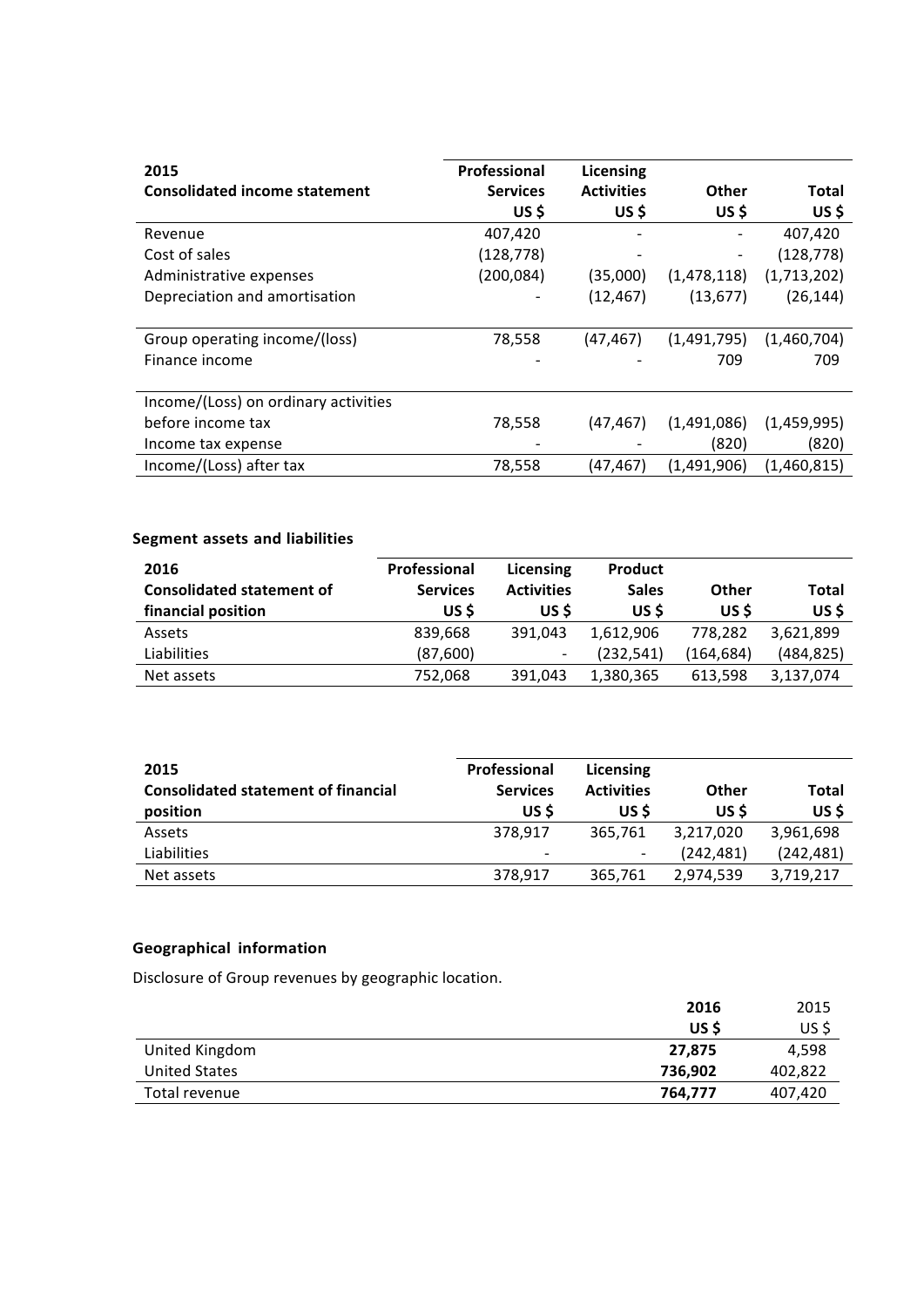| 2015                                 | Professional    | Licensing         |             |             |
|--------------------------------------|-----------------|-------------------|-------------|-------------|
| <b>Consolidated income statement</b> | <b>Services</b> | <b>Activities</b> | Other       | Total       |
|                                      | US \$           | US \$             | US \$       | US\$        |
| Revenue                              | 407,420         |                   |             | 407,420     |
| Cost of sales                        | (128, 778)      |                   |             | (128, 778)  |
| Administrative expenses              | (200, 084)      | (35,000)          | (1,478,118) | (1,713,202) |
| Depreciation and amortisation        |                 | (12, 467)         | (13, 677)   | (26, 144)   |
|                                      |                 |                   |             |             |
| Group operating income/(loss)        | 78,558          | (47,467)          | (1,491,795) | (1,460,704) |
| Finance income                       |                 |                   | 709         | 709         |
|                                      |                 |                   |             |             |
| Income/(Loss) on ordinary activities |                 |                   |             |             |
| before income tax                    | 78,558          | (47, 467)         | (1,491,086) | (1,459,995) |
| Income tax expense                   |                 |                   | (820)       | (820)       |
| Income/(Loss) after tax              | 78,558          | (47,467)          | (1,491,906) | (1,460,815) |

# **Segment assets and liabilities**

| 2016<br><b>Consolidated statement of</b><br>financial position | Professional<br><b>Services</b><br>US \$ | Licensing<br><b>Activities</b><br>US S | <b>Product</b><br><b>Sales</b><br>US \$ | Other<br>US \$ | Total<br>US\$ |
|----------------------------------------------------------------|------------------------------------------|----------------------------------------|-----------------------------------------|----------------|---------------|
| Assets                                                         | 839.668                                  | 391.043                                | 1,612,906                               | 778.282        | 3.621.899     |
| Liabilities                                                    | (87,600)                                 | $\overline{\phantom{a}}$               | (232, 541)                              | (164, 684)     | (484, 825)    |
| Net assets                                                     | 752,068                                  | 391.043                                | 1,380,365                               | 613,598        | 3,137,074     |

| 2015<br><b>Consolidated statement of financial</b><br>position | Professional<br><b>Services</b><br>US \$ | Licensing<br><b>Activities</b><br>US \$ | Other<br>US \$          | Total<br>US\$           |
|----------------------------------------------------------------|------------------------------------------|-----------------------------------------|-------------------------|-------------------------|
| Assets<br>Liabilities                                          | 378.917<br>$\overline{\phantom{a}}$      | 365.761<br>$\overline{\phantom{a}}$     | 3,217,020<br>(242, 481) | 3,961,698<br>(242, 481) |
| Net assets                                                     | 378,917                                  | 365,761                                 | 2,974,539               | 3,719,217               |

# **Geographical information**

Disclosure of Group revenues by geographic location.

|                | 2016    | 2015    |
|----------------|---------|---------|
|                | US \$   | US\$    |
| United Kingdom | 27,875  | 4,598   |
| United States  | 736,902 | 402,822 |
| Total revenue  | 764,777 | 407,420 |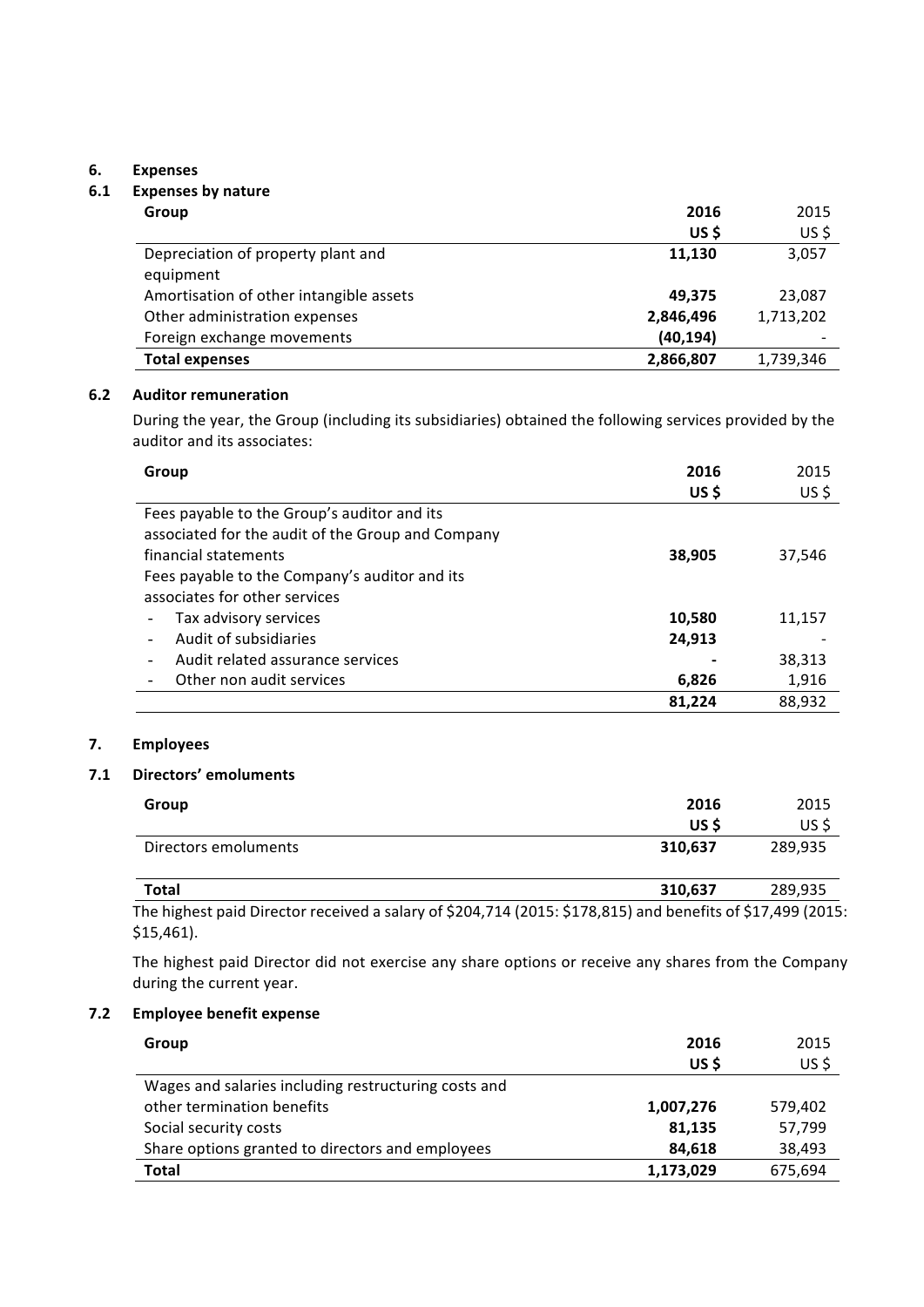#### **6. Expenses**

## **6.1 Expenses by nature**

| Group                                   | 2016      | 2015      |
|-----------------------------------------|-----------|-----------|
|                                         | US \$     | US\$      |
| Depreciation of property plant and      | 11.130    | 3,057     |
| equipment                               |           |           |
| Amortisation of other intangible assets | 49.375    | 23,087    |
| Other administration expenses           | 2,846,496 | 1,713,202 |
| Foreign exchange movements              | (40, 194) |           |
| <b>Total expenses</b>                   | 2,866,807 | 1,739,346 |

#### **6.2 Auditor remuneration**

During the year, the Group (including its subsidiaries) obtained the following services provided by the auditor and its associates:

| Group                                             | 2016   | 2015    |
|---------------------------------------------------|--------|---------|
|                                                   | US\$   | $US$ \$ |
| Fees payable to the Group's auditor and its       |        |         |
| associated for the audit of the Group and Company |        |         |
| financial statements                              | 38,905 | 37,546  |
| Fees payable to the Company's auditor and its     |        |         |
| associates for other services                     |        |         |
| Tax advisory services                             | 10,580 | 11,157  |
| Audit of subsidiaries                             | 24,913 |         |
| Audit related assurance services                  |        | 38,313  |
| Other non audit services                          | 6,826  | 1,916   |
|                                                   | 81.224 | 88,932  |

# **7. Employees**

#### **7.1 Directors' emoluments**

| Group                | 2016<br>US \$ | 2015<br>US\$ |
|----------------------|---------------|--------------|
| Directors emoluments | 310,637       | 289,935      |
| <b>Total</b>         | 310,637       | 289,935      |

The highest paid Director received a salary of \$204,714 (2015: \$178,815) and benefits of \$17,499 (2015: \$15,461). 

The highest paid Director did not exercise any share options or receive any shares from the Company during the current year.

# **7.2 Employee benefit expense**

| Group                                                | 2016<br>US \$ | 2015<br>US\$ |
|------------------------------------------------------|---------------|--------------|
| Wages and salaries including restructuring costs and |               |              |
| other termination benefits                           | 1,007,276     | 579.402      |
| Social security costs                                | 81,135        | 57,799       |
| Share options granted to directors and employees     | 84,618        | 38,493       |
| <b>Total</b>                                         | 1,173,029     | 675,694      |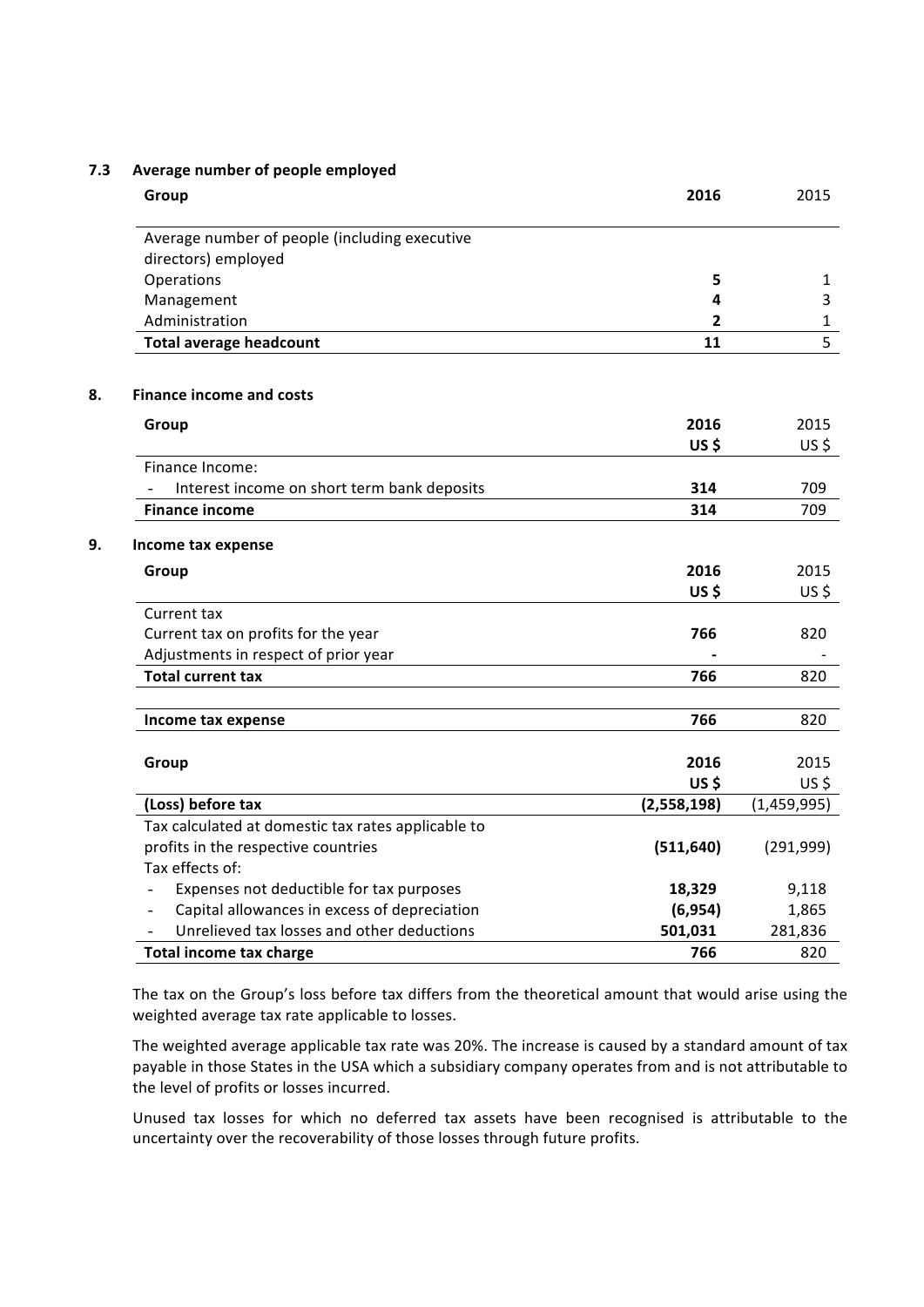#### **7.3** Average number of people employed

| Group                                                         | 2016        | 2015        |
|---------------------------------------------------------------|-------------|-------------|
| Average number of people (including executive                 |             |             |
| directors) employed                                           |             |             |
| Operations                                                    | 5           | 1           |
| Management                                                    | 4           | 3           |
| Administration                                                | 2           | 1           |
| <b>Total average headcount</b>                                | 11          | 5           |
| <b>Finance income and costs</b>                               |             |             |
| Group                                                         | 2016        | 2015        |
|                                                               | US\$        | $US$ \$     |
| Finance Income:                                               |             |             |
| Interest income on short term bank deposits<br>$\blacksquare$ | 314         | 709         |
| <b>Finance income</b>                                         | 314         | 709         |
| Income tax expense                                            |             |             |
| Group                                                         | 2016        | 2015        |
|                                                               | US\$        | $US$ \$     |
| Current tax                                                   |             |             |
| Current tax on profits for the year                           | 766         | 820         |
| Adjustments in respect of prior year                          |             |             |
| <b>Total current tax</b>                                      | 766         | 820         |
|                                                               |             |             |
| Income tax expense                                            | 766         | 820         |
|                                                               |             |             |
| Group                                                         | 2016        | 2015        |
|                                                               | <b>US\$</b> | $US$ \$     |
| (Loss) before tax                                             | (2,558,198) | (1,459,995) |
| Tax calculated at domestic tax rates applicable to            |             |             |
| profits in the respective countries                           | (511, 640)  | (291, 999)  |
| Tax effects of:                                               |             |             |
| Expenses not deductible for tax purposes                      | 18,329      | 9,118       |
| Capital allowances in excess of depreciation                  | (6, 954)    | 1,865       |
| Unrelieved tax losses and other deductions                    | 501,031     | 281,836     |
| <b>Total income tax charge</b>                                | 766         | 820         |

The tax on the Group's loss before tax differs from the theoretical amount that would arise using the weighted average tax rate applicable to losses.

The weighted average applicable tax rate was 20%. The increase is caused by a standard amount of tax payable in those States in the USA which a subsidiary company operates from and is not attributable to the level of profits or losses incurred.

Unused tax losses for which no deferred tax assets have been recognised is attributable to the uncertainty over the recoverability of those losses through future profits.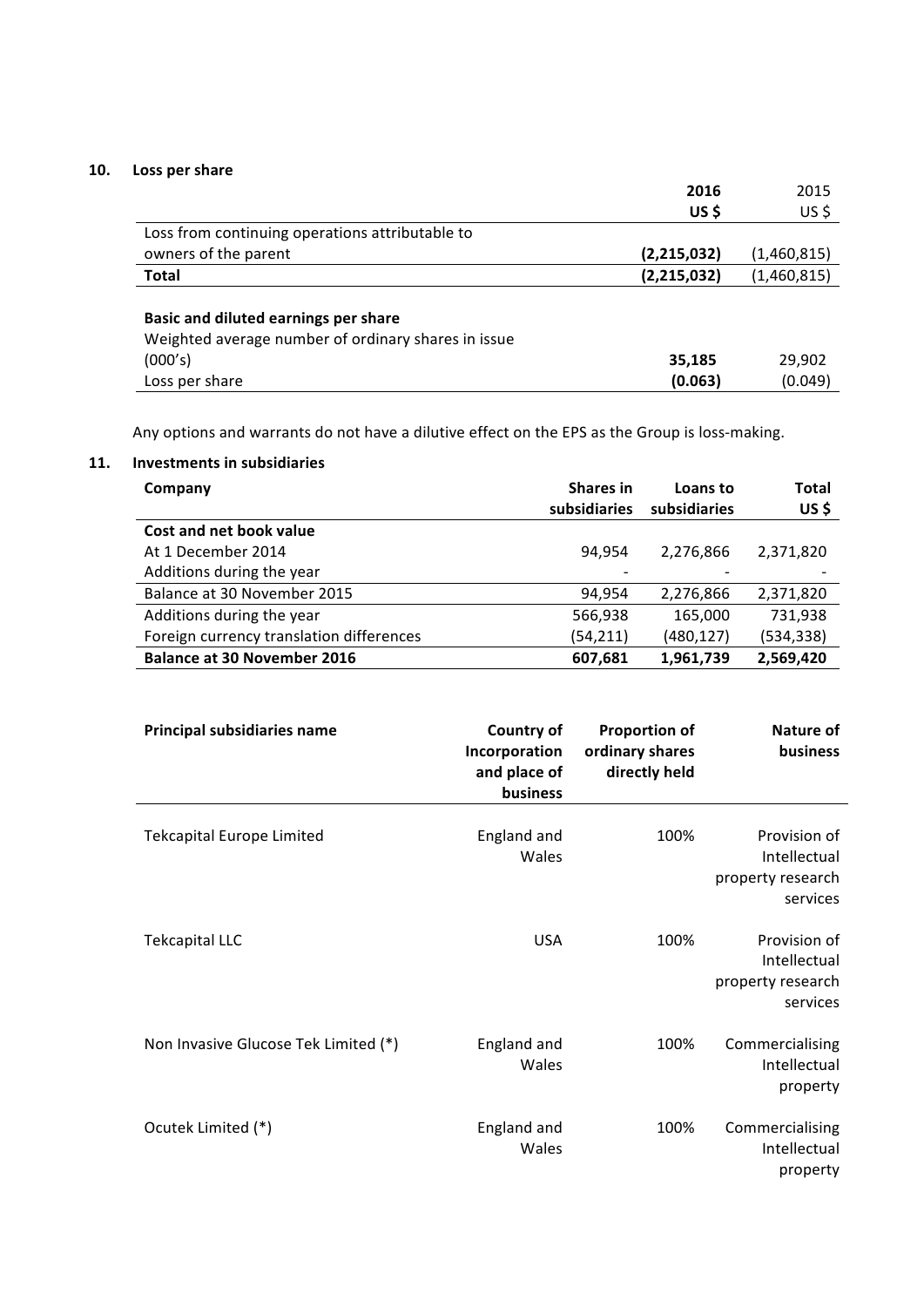# 10. Loss per share

|                                                     | 2016          | 2015        |
|-----------------------------------------------------|---------------|-------------|
|                                                     | US\$          | $US$ \$     |
| Loss from continuing operations attributable to     |               |             |
| owners of the parent                                | (2,215,032)   | (1,460,815) |
| <b>Total</b>                                        | (2, 215, 032) | (1,460,815) |
|                                                     |               |             |
| Basic and diluted earnings per share                |               |             |
| Weighted average number of ordinary shares in issue |               |             |
| (000's)                                             | 35,185        | 29,902      |
| Loss per share                                      | (0.063)       | (0.049)     |

Any options and warrants do not have a dilutive effect on the EPS as the Group is loss-making.

# **11. Investments in subsidiaries**

| Company                                  | <b>Shares in</b><br>subsidiaries | Loans to<br>subsidiaries | Total<br>US\$ |
|------------------------------------------|----------------------------------|--------------------------|---------------|
| Cost and net book value                  |                                  |                          |               |
| At 1 December 2014                       | 94.954                           | 2,276,866                | 2,371,820     |
| Additions during the year                |                                  |                          |               |
| Balance at 30 November 2015              | 94,954                           | 2,276,866                | 2,371,820     |
| Additions during the year                | 566,938                          | 165,000                  | 731,938       |
| Foreign currency translation differences | (54, 211)                        | (480,127)                | (534, 338)    |
| <b>Balance at 30 November 2016</b>       | 607,681                          | 1,961,739                | 2,569,420     |

| <b>Principal subsidiaries name</b>   | <b>Country of</b><br>Incorporation<br>and place of<br>business | <b>Proportion of</b><br>ordinary shares<br>directly held | <b>Nature of</b><br>business                                  |
|--------------------------------------|----------------------------------------------------------------|----------------------------------------------------------|---------------------------------------------------------------|
| <b>Tekcapital Europe Limited</b>     | England and<br>Wales                                           | 100%                                                     | Provision of<br>Intellectual<br>property research<br>services |
| <b>Tekcapital LLC</b>                | <b>USA</b>                                                     | 100%                                                     | Provision of<br>Intellectual<br>property research<br>services |
| Non Invasive Glucose Tek Limited (*) | England and<br>Wales                                           | 100%                                                     | Commercialising<br>Intellectual<br>property                   |
| Ocutek Limited (*)                   | England and<br>Wales                                           | 100%                                                     | Commercialising<br>Intellectual<br>property                   |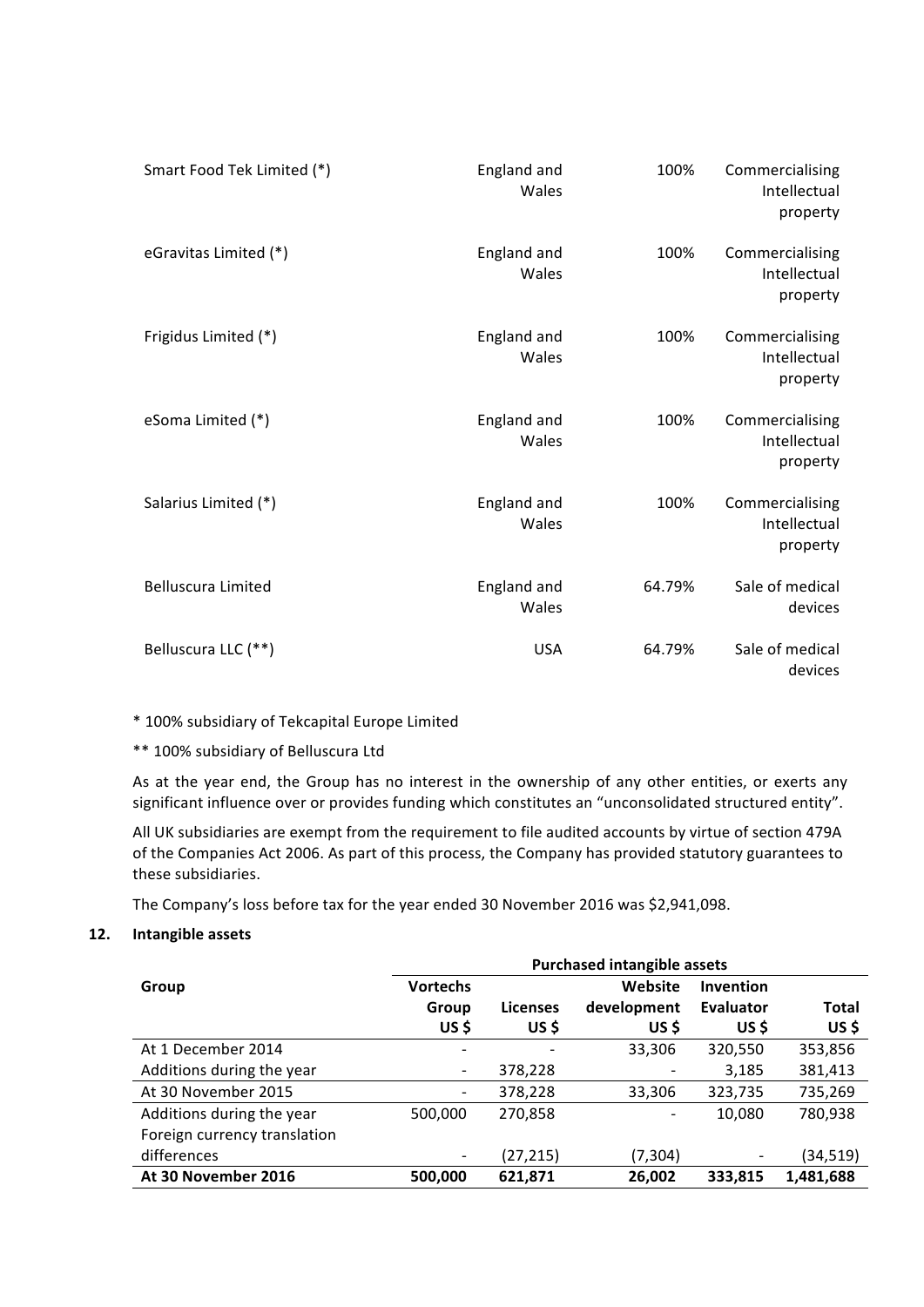| Smart Food Tek Limited (*) | England and<br>Wales | 100%   | Commercialising<br>Intellectual<br>property |
|----------------------------|----------------------|--------|---------------------------------------------|
| eGravitas Limited (*)      | England and<br>Wales | 100%   | Commercialising<br>Intellectual<br>property |
| Frigidus Limited (*)       | England and<br>Wales | 100%   | Commercialising<br>Intellectual<br>property |
| eSoma Limited (*)          | England and<br>Wales | 100%   | Commercialising<br>Intellectual<br>property |
| Salarius Limited (*)       | England and<br>Wales | 100%   | Commercialising<br>Intellectual<br>property |
| <b>Belluscura Limited</b>  | England and<br>Wales | 64.79% | Sale of medical<br>devices                  |
| Belluscura LLC (**)        | <b>USA</b>           | 64.79% | Sale of medical<br>devices                  |

\* 100% subsidiary of Tekcapital Europe Limited

\*\* 100% subsidiary of Belluscura Ltd

As at the year end, the Group has no interest in the ownership of any other entities, or exerts any significant influence over or provides funding which constitutes an "unconsolidated structured entity".

All UK subsidiaries are exempt from the requirement to file audited accounts by virtue of section 479A of the Companies Act 2006. As part of this process, the Company has provided statutory guarantees to these subsidiaries.

The Company's loss before tax for the year ended 30 November 2016 was \$2,941,098.

## **12. Intangible assets**

|                              | <b>Purchased intangible assets</b> |                 |             |                  |           |
|------------------------------|------------------------------------|-----------------|-------------|------------------|-----------|
| Group                        | <b>Vortechs</b>                    |                 | Website     | <b>Invention</b> |           |
|                              | Group                              | <b>Licenses</b> | development | <b>Evaluator</b> | Total     |
|                              | US\$                               | US\$            | US \$       | US \$            | US\$      |
| At 1 December 2014           |                                    |                 | 33,306      | 320,550          | 353,856   |
| Additions during the year    |                                    | 378,228         |             | 3,185            | 381,413   |
| At 30 November 2015          |                                    | 378,228         | 33,306      | 323,735          | 735,269   |
| Additions during the year    | 500,000                            | 270,858         |             | 10,080           | 780,938   |
| Foreign currency translation |                                    |                 |             |                  |           |
| differences                  |                                    | (27, 215)       | (7, 304)    |                  | (34,519)  |
| At 30 November 2016          | 500,000                            | 621,871         | 26,002      | 333,815          | 1,481,688 |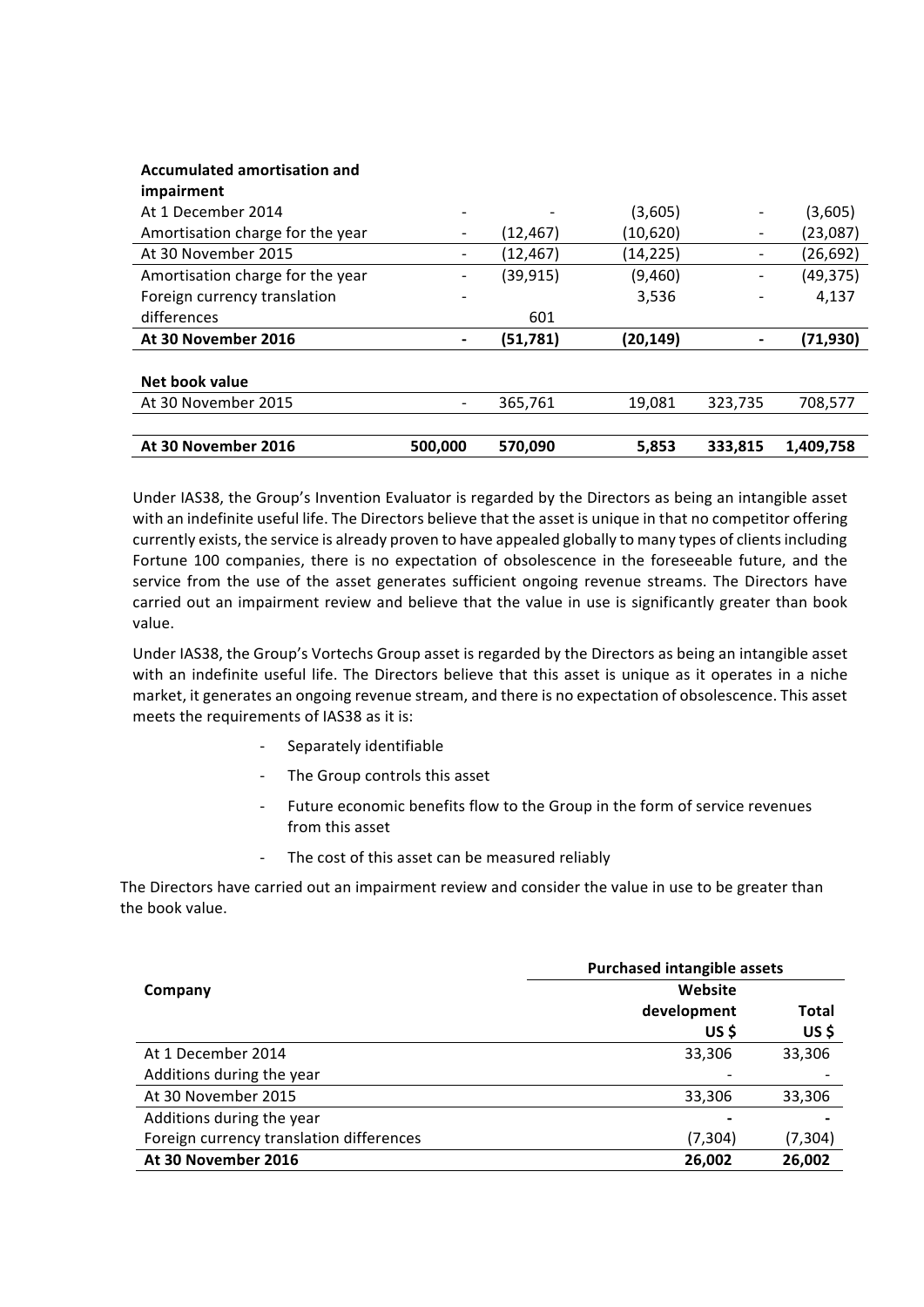| At 30 November 2016              | 500.000 | 570.090   | 5.853     | 333,815 | 1.409.758 |
|----------------------------------|---------|-----------|-----------|---------|-----------|
|                                  |         |           |           |         |           |
| At 30 November 2015              |         | 365,761   | 19,081    | 323,735 | 708,577   |
| Net book value                   |         |           |           |         |           |
|                                  |         |           |           |         |           |
| At 30 November 2016              |         | (51, 781) | (20,149)  |         | (71, 930) |
| differences                      |         | 601       |           |         |           |
| Foreign currency translation     |         |           | 3,536     |         | 4,137     |
| Amortisation charge for the year |         | (39, 915) | (9,460)   |         | (49, 375) |
| At 30 November 2015              |         | (12,467)  | (14, 225) |         | (26, 692) |
| Amortisation charge for the year |         | (12, 467) | (10,620)  |         | (23,087)  |
| At 1 December 2014               |         |           | (3,605)   |         | (3,605)   |
| impairment                       |         |           |           |         |           |
| Ассантансса антогазастон ана     |         |           |           |         |           |

Under IAS38, the Group's Invention Evaluator is regarded by the Directors as being an intangible asset with an indefinite useful life. The Directors believe that the asset is unique in that no competitor offering currently exists, the service is already proven to have appealed globally to many types of clients including Fortune 100 companies, there is no expectation of obsolescence in the foreseeable future, and the service from the use of the asset generates sufficient ongoing revenue streams. The Directors have carried out an impairment review and believe that the value in use is significantly greater than book value.

Under IAS38, the Group's Vortechs Group asset is regarded by the Directors as being an intangible asset with an indefinite useful life. The Directors believe that this asset is unique as it operates in a niche market, it generates an ongoing revenue stream, and there is no expectation of obsolescence. This asset meets the requirements of IAS38 as it is:

Separately identifiable

**Accumulated amortisation and** 

- The Group controls this asset
- Future economic benefits flow to the Group in the form of service revenues from this asset
- The cost of this asset can be measured reliably

The Directors have carried out an impairment review and consider the value in use to be greater than the book value.

|                                          | <b>Purchased intangible assets</b> |          |
|------------------------------------------|------------------------------------|----------|
| Company                                  | Website                            |          |
|                                          | development                        | Total    |
|                                          | US\$                               | US\$     |
| At 1 December 2014                       | 33,306                             | 33,306   |
| Additions during the year                |                                    |          |
| At 30 November 2015                      | 33,306                             | 33,306   |
| Additions during the year                | ٠                                  |          |
| Foreign currency translation differences | (7, 304)                           | (7, 304) |
| At 30 November 2016                      | 26,002                             | 26,002   |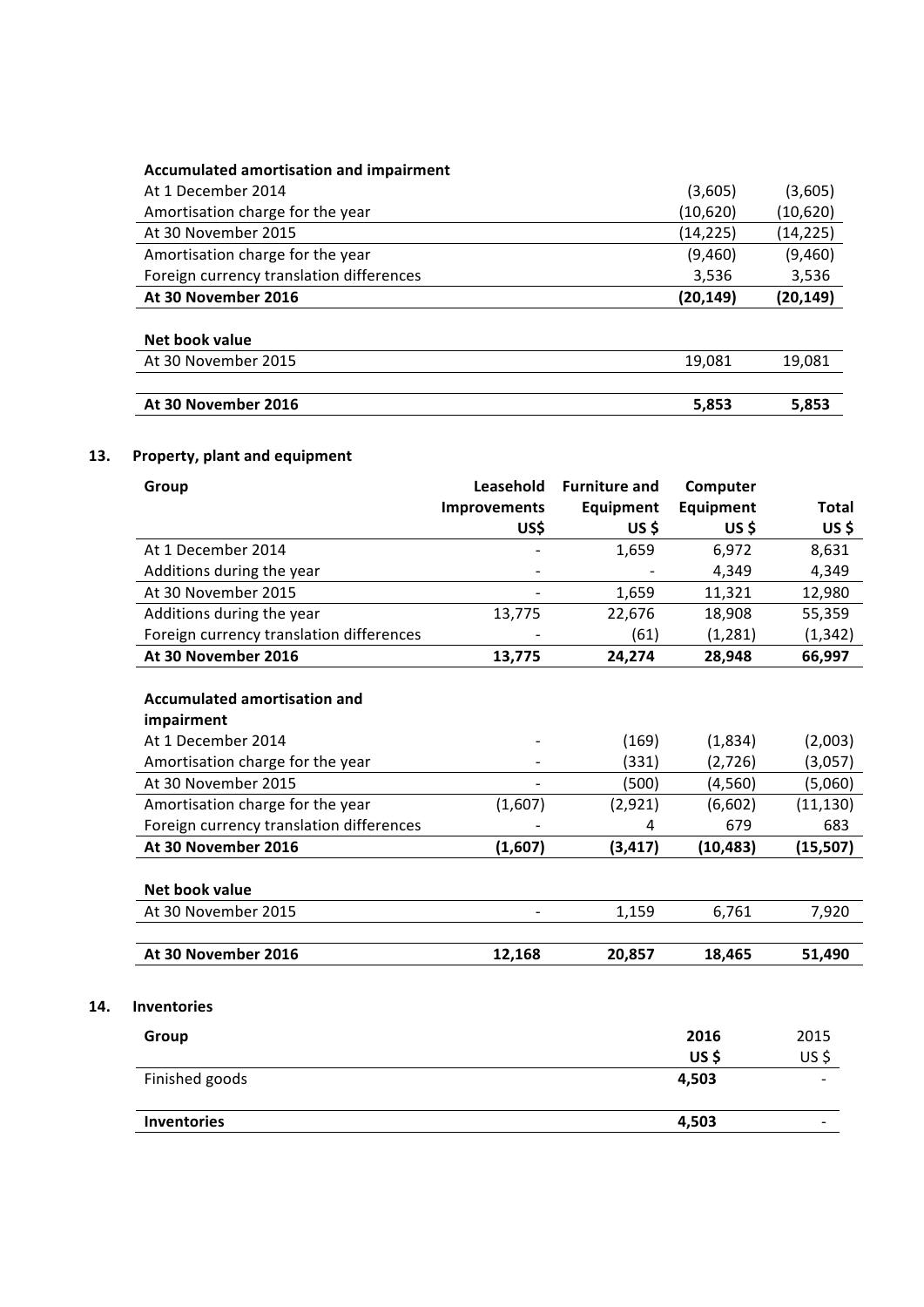# **Accumulated amortisation and impairment**

| At 30 November 2016                      | (20, 149) | (20, 149) |
|------------------------------------------|-----------|-----------|
| Foreign currency translation differences | 3.536     | 3,536     |
| Amortisation charge for the year         | (9,460)   | (9,460)   |
| At 30 November 2015                      | (14, 225) | (14, 225) |
| Amortisation charge for the year         | (10,620)  | (10,620)  |
| At 1 December 2014                       | (3,605)   | (3,605)   |

#### **Net book value**

**14. Inventories**

| At 30 November 2015 | 19.081 | 19.081 |
|---------------------|--------|--------|
|                     |        |        |
| At 30 November 2016 | 5.853  | 5.853  |

# 13. Property, plant and equipment

| Group                                    | Leasehold           | <b>Furniture and</b> | Computer  |              |
|------------------------------------------|---------------------|----------------------|-----------|--------------|
|                                          | <b>Improvements</b> | <b>Equipment</b>     | Equipment | <b>Total</b> |
|                                          | US\$                | <b>US\$</b>          | US\$      | US\$         |
| At 1 December 2014                       |                     | 1,659                | 6,972     | 8,631        |
| Additions during the year                |                     |                      | 4,349     | 4,349        |
| At 30 November 2015                      |                     | 1,659                | 11,321    | 12,980       |
| Additions during the year                | 13,775              | 22,676               | 18,908    | 55,359       |
| Foreign currency translation differences |                     | (61)                 | (1, 281)  | (1, 342)     |
| At 30 November 2016                      | 13,775              | 24,274               | 28,948    | 66,997       |
|                                          |                     |                      |           |              |
| <b>Accumulated amortisation and</b>      |                     |                      |           |              |
| impairment                               |                     |                      |           |              |
| At 1 December 2014                       |                     | (169)                | (1,834)   | (2,003)      |
| Amortisation charge for the year         |                     | (331)                | (2,726)   | (3,057)      |
| At 30 November 2015                      | $\blacksquare$      | (500)                | (4, 560)  | (5,060)      |
| Amortisation charge for the year         | (1,607)             | (2, 921)             | (6,602)   | (11, 130)    |
| Foreign currency translation differences |                     | 4                    | 679       | 683          |
| At 30 November 2016                      | (1,607)             | (3, 417)             | (10, 483) | (15, 507)    |
|                                          |                     |                      |           |              |
| <b>Net book value</b>                    |                     |                      |           |              |
| At 30 November 2015                      |                     | 1,159                | 6,761     | 7,920        |
|                                          |                     |                      |           |              |
| At 30 November 2016                      | 12,168              | 20,857               | 18,465    | 51,490       |
|                                          |                     |                      |           |              |
| <b>Inventories</b>                       |                     |                      |           |              |
|                                          |                     |                      |           |              |
| Group                                    |                     |                      | 2016      | 2015         |
|                                          |                     |                      | US\$      | $US$ \$      |
| Finished goods                           |                     |                      | 4,503     |              |
|                                          |                     |                      |           |              |
| <b>Inventories</b>                       |                     |                      | 4,503     |              |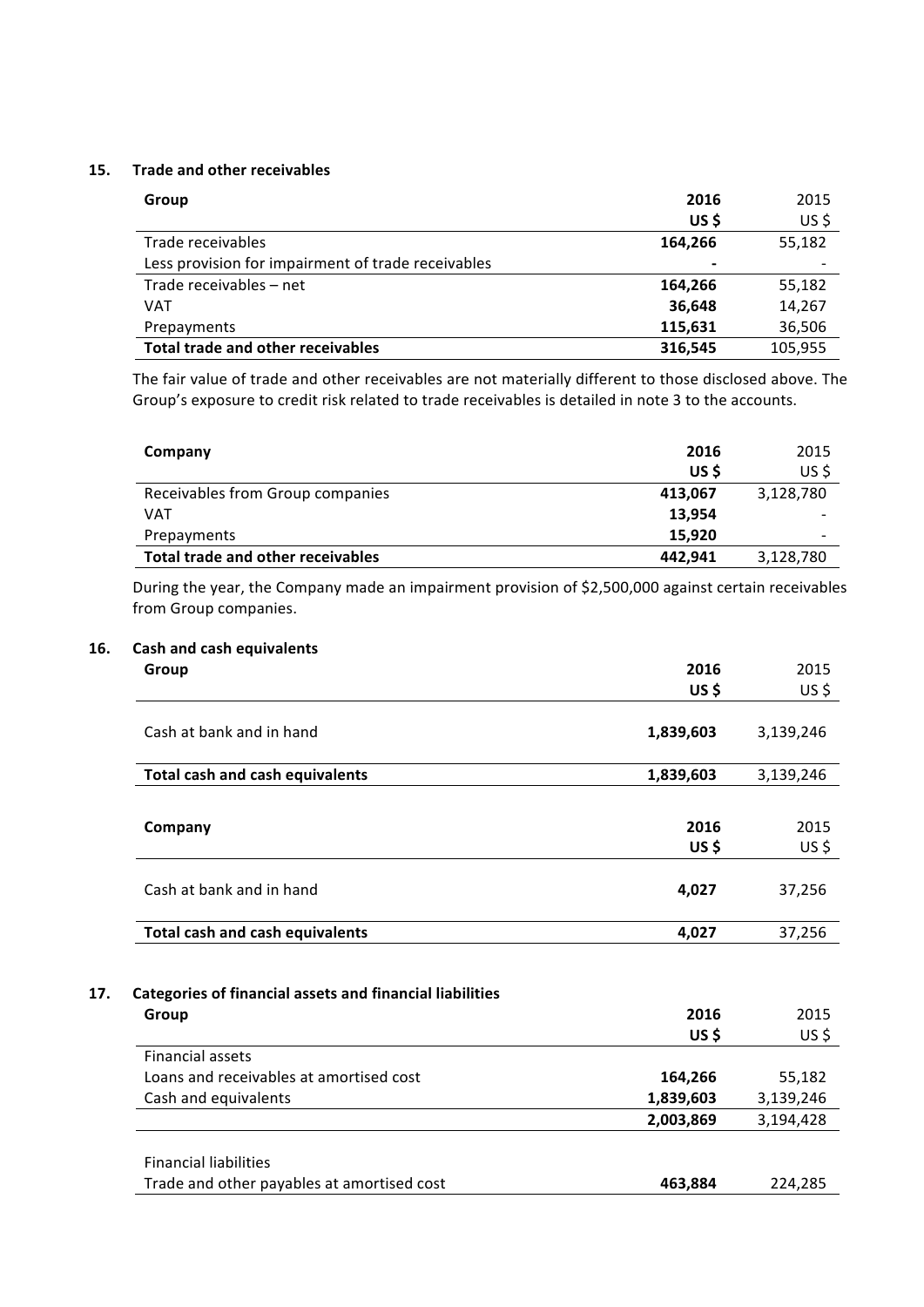#### **15.** Trade and other receivables

| Group                                              | 2016    | 2015    |
|----------------------------------------------------|---------|---------|
|                                                    | US\$    | US\$    |
| Trade receivables                                  | 164,266 | 55,182  |
| Less provision for impairment of trade receivables |         |         |
| Trade receivables - net                            | 164,266 | 55,182  |
| VAT                                                | 36,648  | 14,267  |
| Prepayments                                        | 115,631 | 36,506  |
| Total trade and other receivables                  | 316,545 | 105,955 |

The fair value of trade and other receivables are not materially different to those disclosed above. The Group's exposure to credit risk related to trade receivables is detailed in note 3 to the accounts.

| Company                           | 2016    | 2015      |
|-----------------------------------|---------|-----------|
|                                   | US \$   | US\$      |
| Receivables from Group companies  | 413,067 | 3,128,780 |
| VAT                               | 13,954  |           |
| Prepayments                       | 15.920  | -         |
| Total trade and other receivables | 442.941 | 3,128,780 |

During the year, the Company made an impairment provision of \$2,500,000 against certain receivables from Group companies.

# **16. Cash and cash equivalents**

| Group                                                                    | 2016         | 2015            |
|--------------------------------------------------------------------------|--------------|-----------------|
|                                                                          | <b>US\$</b>  | US\$            |
| Cash at bank and in hand                                                 | 1,839,603    | 3,139,246       |
| <b>Total cash and cash equivalents</b>                                   | 1,839,603    | 3,139,246       |
|                                                                          |              |                 |
| Company                                                                  | 2016         | 2015            |
|                                                                          | US\$         | $US$ \$         |
| Cash at bank and in hand                                                 | 4,027        | 37,256          |
| <b>Total cash and cash equivalents</b>                                   | 4,027        | 37,256          |
| <b>Categories of financial assets and financial liabilities</b><br>Group | 2016<br>US\$ | 2015<br>$US$ \$ |
| <b>Financial assets</b>                                                  |              |                 |
| Loans and receivables at amortised cost                                  | 164,266      | 55,182          |
| Cash and equivalents                                                     | 1,839,603    | 3,139,246       |
|                                                                          | 2,003,869    | 3,194,428       |
| <b>Financial liabilities</b>                                             |              |                 |
| Trade and other payables at amortised cost                               | 463,884      | 224,285         |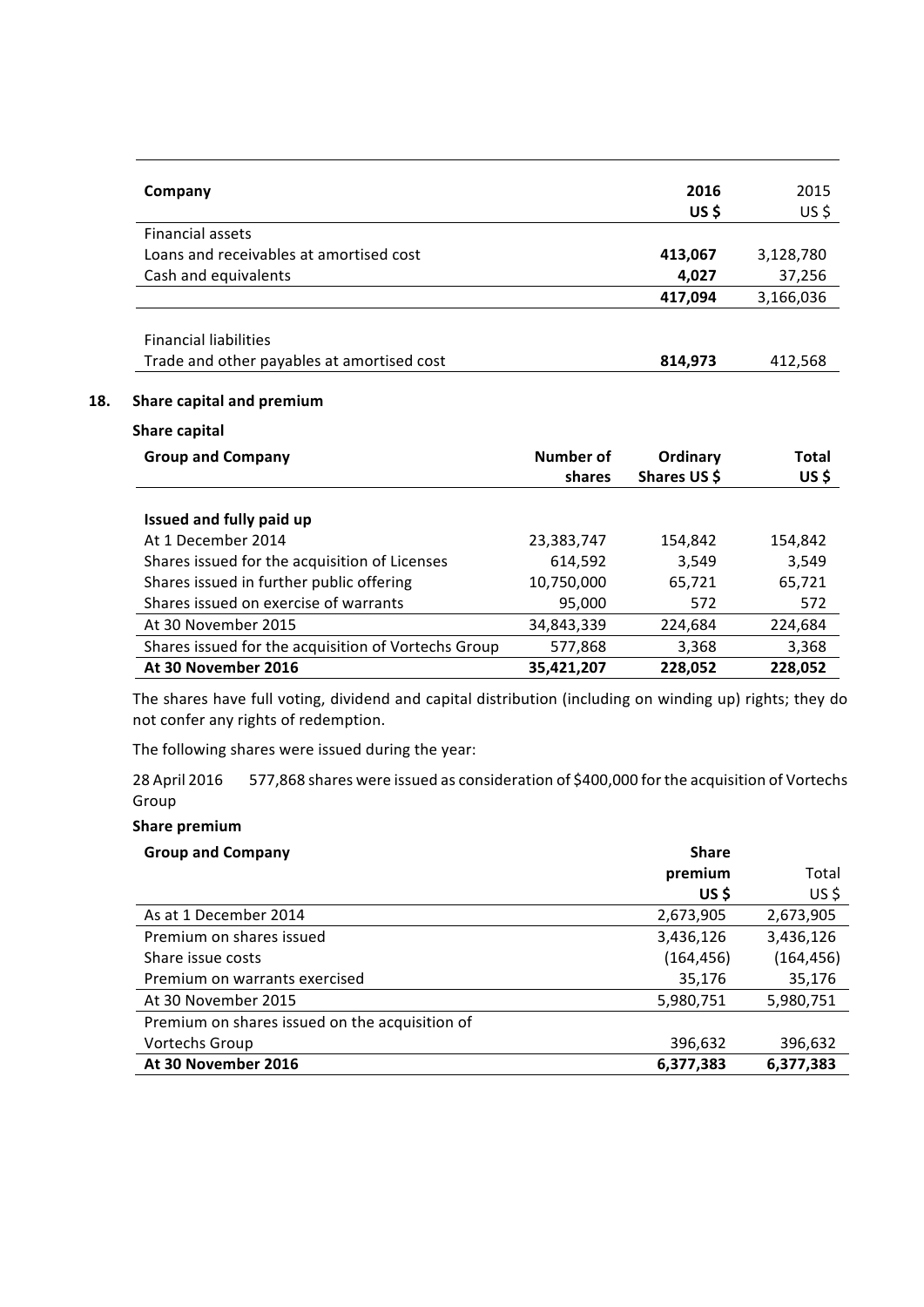|     | Company                                    |           | 2016     | 2015      |
|-----|--------------------------------------------|-----------|----------|-----------|
|     |                                            |           | US\$     | $US$ \$   |
|     | <b>Financial assets</b>                    |           |          |           |
|     | Loans and receivables at amortised cost    |           | 413,067  | 3,128,780 |
|     | Cash and equivalents                       |           | 4,027    | 37,256    |
|     |                                            |           | 417,094  | 3,166,036 |
|     |                                            |           |          |           |
|     | <b>Financial liabilities</b>               |           |          |           |
|     | Trade and other payables at amortised cost |           | 814,973  | 412,568   |
| 18. | Share capital and premium                  |           |          |           |
|     | Share capital                              |           |          |           |
|     | <b>Group and Company</b>                   | Number of | Ordinary | Total     |

|                                                     | shares     | Shares US \$ | US\$    |
|-----------------------------------------------------|------------|--------------|---------|
|                                                     |            |              |         |
| Issued and fully paid up                            |            |              |         |
| At 1 December 2014                                  | 23,383,747 | 154,842      | 154,842 |
| Shares issued for the acquisition of Licenses       | 614,592    | 3,549        | 3,549   |
| Shares issued in further public offering            | 10,750,000 | 65,721       | 65,721  |
| Shares issued on exercise of warrants               | 95,000     | 572          | 572     |
| At 30 November 2015                                 | 34,843,339 | 224,684      | 224,684 |
| Shares issued for the acquisition of Vortechs Group | 577,868    | 3,368        | 3,368   |
| At 30 November 2016                                 | 35,421,207 | 228,052      | 228,052 |

The shares have full voting, dividend and capital distribution (including on winding up) rights; they do not confer any rights of redemption.

The following shares were issued during the year:

28 April 2016 S77,868 shares were issued as consideration of \$400,000 for the acquisition of Vortechs Group

# **Share premium**

| <b>Group and Company</b>                       | <b>Share</b> |            |
|------------------------------------------------|--------------|------------|
|                                                | premium      | Total      |
|                                                | US\$         | US\$       |
| As at 1 December 2014                          | 2,673,905    | 2,673,905  |
| Premium on shares issued                       | 3,436,126    | 3,436,126  |
| Share issue costs                              | (164, 456)   | (164, 456) |
| Premium on warrants exercised                  | 35,176       | 35,176     |
| At 30 November 2015                            | 5,980,751    | 5,980,751  |
| Premium on shares issued on the acquisition of |              |            |
| <b>Vortechs Group</b>                          | 396,632      | 396,632    |
| At 30 November 2016                            | 6,377,383    | 6,377,383  |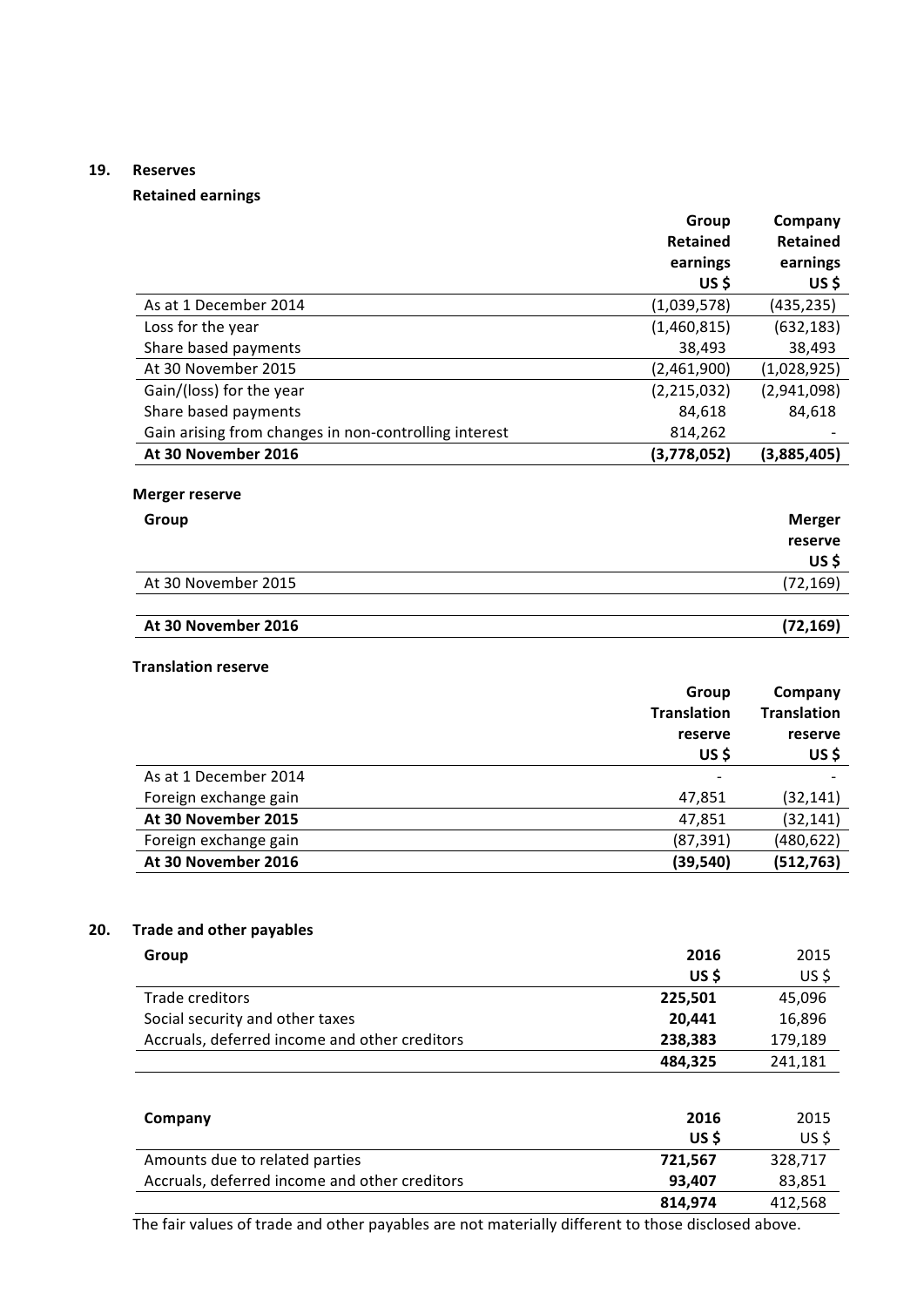## **19. Reserves**

# **Retained earnings**

|                                                       | Group              | Company            |
|-------------------------------------------------------|--------------------|--------------------|
|                                                       | <b>Retained</b>    | <b>Retained</b>    |
|                                                       | earnings           | earnings           |
|                                                       | US\$               | US\$               |
| As at 1 December 2014                                 | (1,039,578)        | (435, 235)         |
| Loss for the year                                     | (1,460,815)        | (632, 183)         |
| Share based payments                                  | 38,493             | 38,493             |
| At 30 November 2015                                   | (2,461,900)        | (1,028,925)        |
| Gain/(loss) for the year                              | (2,215,032)        | (2,941,098)        |
| Share based payments                                  | 84,618             | 84,618             |
| Gain arising from changes in non-controlling interest | 814,262            |                    |
| At 30 November 2016                                   | (3,778,052)        | (3,885,405)        |
|                                                       |                    |                    |
| <b>Merger reserve</b>                                 |                    |                    |
| Group                                                 |                    | <b>Merger</b>      |
|                                                       |                    | reserve            |
|                                                       |                    | US\$               |
| At 30 November 2015                                   |                    | (72, 169)          |
|                                                       |                    |                    |
| At 30 November 2016                                   |                    | (72, 169)          |
|                                                       |                    |                    |
| <b>Translation reserve</b>                            |                    |                    |
|                                                       | Group              | Company            |
|                                                       | <b>Translation</b> | <b>Translation</b> |
|                                                       | reserve            | reserve            |
|                                                       | US\$               | US\$               |
| As at 1 December 2014                                 |                    |                    |
| Foreign exchange gain                                 | 47,851             | (32, 141)          |
|                                                       |                    |                    |

| At 30 November 2016   | (39.540) | (512, 763) |
|-----------------------|----------|------------|
| Foreign exchange gain | (87.391) | (480, 622) |
| At 30 November 2015   | 47.851   | (32, 141)  |
|                       |          |            |

## **20. Trade and other payables**

| Group                                         | 2016    | 2015    |
|-----------------------------------------------|---------|---------|
|                                               | US\$    | US\$    |
| Trade creditors                               | 225,501 | 45,096  |
| Social security and other taxes               | 20,441  | 16,896  |
| Accruals, deferred income and other creditors | 238,383 | 179,189 |
|                                               | 484,325 | 241,181 |
|                                               |         |         |
| Company                                       | 2016    | 2015    |

| COMPANY                                       | ZUID    | د⊥∪∠    |
|-----------------------------------------------|---------|---------|
|                                               | US \$   | US \$   |
| Amounts due to related parties                | 721.567 | 328.717 |
| Accruals, deferred income and other creditors | 93.407  | 83,851  |
|                                               | 814.974 | 412,568 |

The fair values of trade and other payables are not materially different to those disclosed above.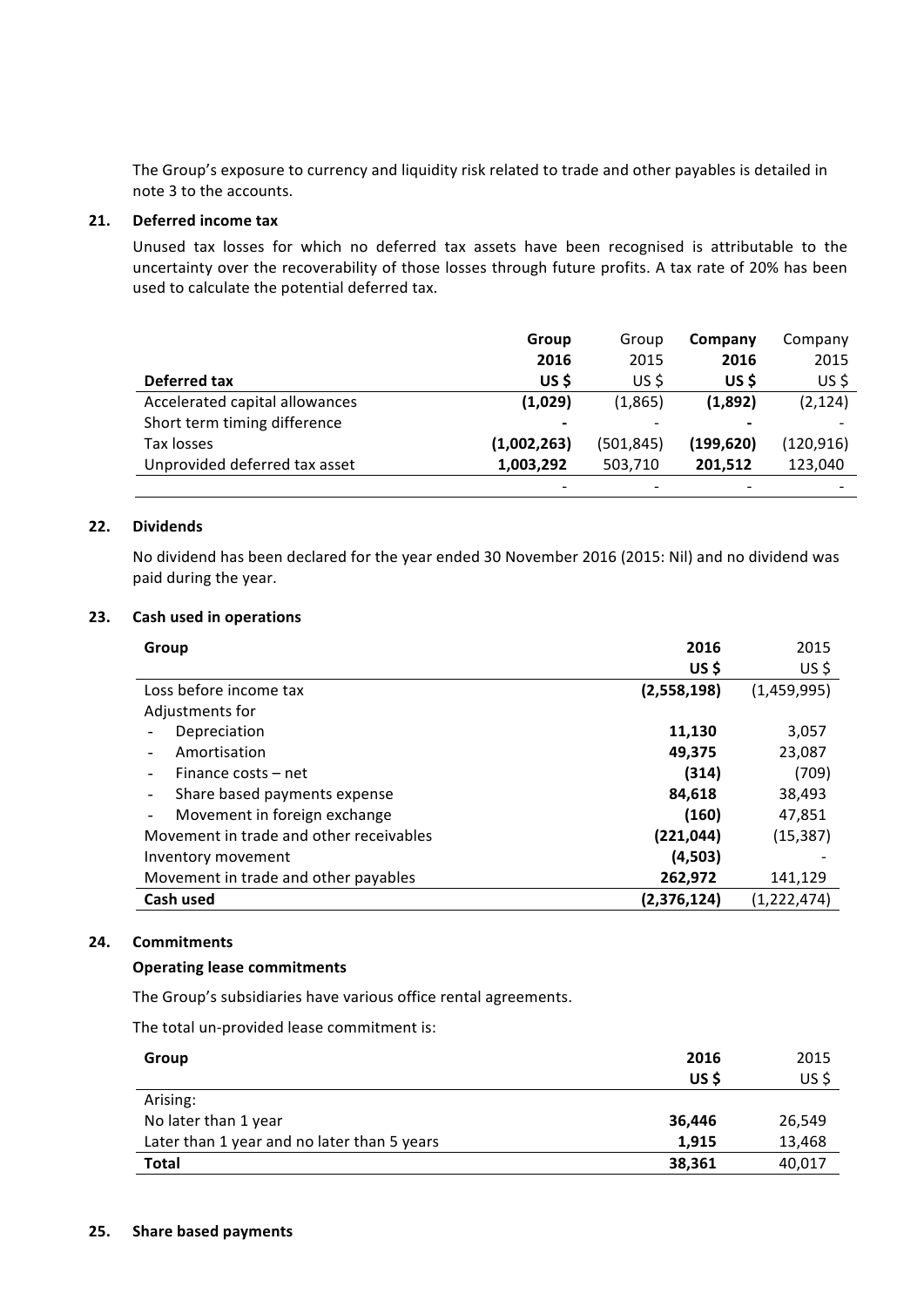The Group's exposure to currency and liquidity risk related to trade and other payables is detailed in note 3 to the accounts.

## **21. Deferred** income tax

Unused tax losses for which no deferred tax assets have been recognised is attributable to the uncertainty over the recoverability of those losses through future profits. A tax rate of 20% has been used to calculate the potential deferred tax.

|                                | Group                    | Group      | Company    | Company    |
|--------------------------------|--------------------------|------------|------------|------------|
|                                | 2016                     | 2015       | 2016       | 2015       |
| Deferred tax                   | US \$                    | US \$      | US \$      | $US$ \$    |
| Accelerated capital allowances | (1,029)                  | (1,865)    | (1,892)    | (2, 124)   |
| Short term timing difference   | $\overline{\phantom{a}}$ |            |            |            |
| Tax losses                     | (1,002,263)              | (501, 845) | (199, 620) | (120, 916) |
| Unprovided deferred tax asset  | 1,003,292                | 503,710    | 201.512    | 123,040    |
|                                |                          |            |            |            |

## 22. **Dividends**

No dividend has been declared for the year ended 30 November 2016 (2015: Nil) and no dividend was paid during the year.

## **23. Cash used in operations**

| Group                                   | 2016        | 2015          |
|-----------------------------------------|-------------|---------------|
|                                         | US \$       | US\$          |
| Loss before income tax                  | (2,558,198) | (1,459,995)   |
| Adjustments for                         |             |               |
| Depreciation                            | 11,130      | 3,057         |
| Amortisation                            | 49,375      | 23,087        |
| Finance costs – net                     | (314)       | (709)         |
| Share based payments expense            | 84,618      | 38,493        |
| Movement in foreign exchange<br>٠       | (160)       | 47,851        |
| Movement in trade and other receivables | (221,044)   | (15, 387)     |
| Inventory movement                      | (4,503)     |               |
| Movement in trade and other payables    | 262,972     | 141,129       |
| Cash used                               | (2,376,124) | (1, 222, 474) |

#### **24. Commitments**

#### **Operating lease commitments**

The Group's subsidiaries have various office rental agreements.

The total un-provided lease commitment is:

| Group                                       | 2016   | 2015   |
|---------------------------------------------|--------|--------|
|                                             | US\$   | US\$   |
| Arising:                                    |        |        |
| No later than 1 year                        | 36,446 | 26,549 |
| Later than 1 year and no later than 5 years | 1.915  | 13,468 |
| <b>Total</b>                                | 38,361 | 40,017 |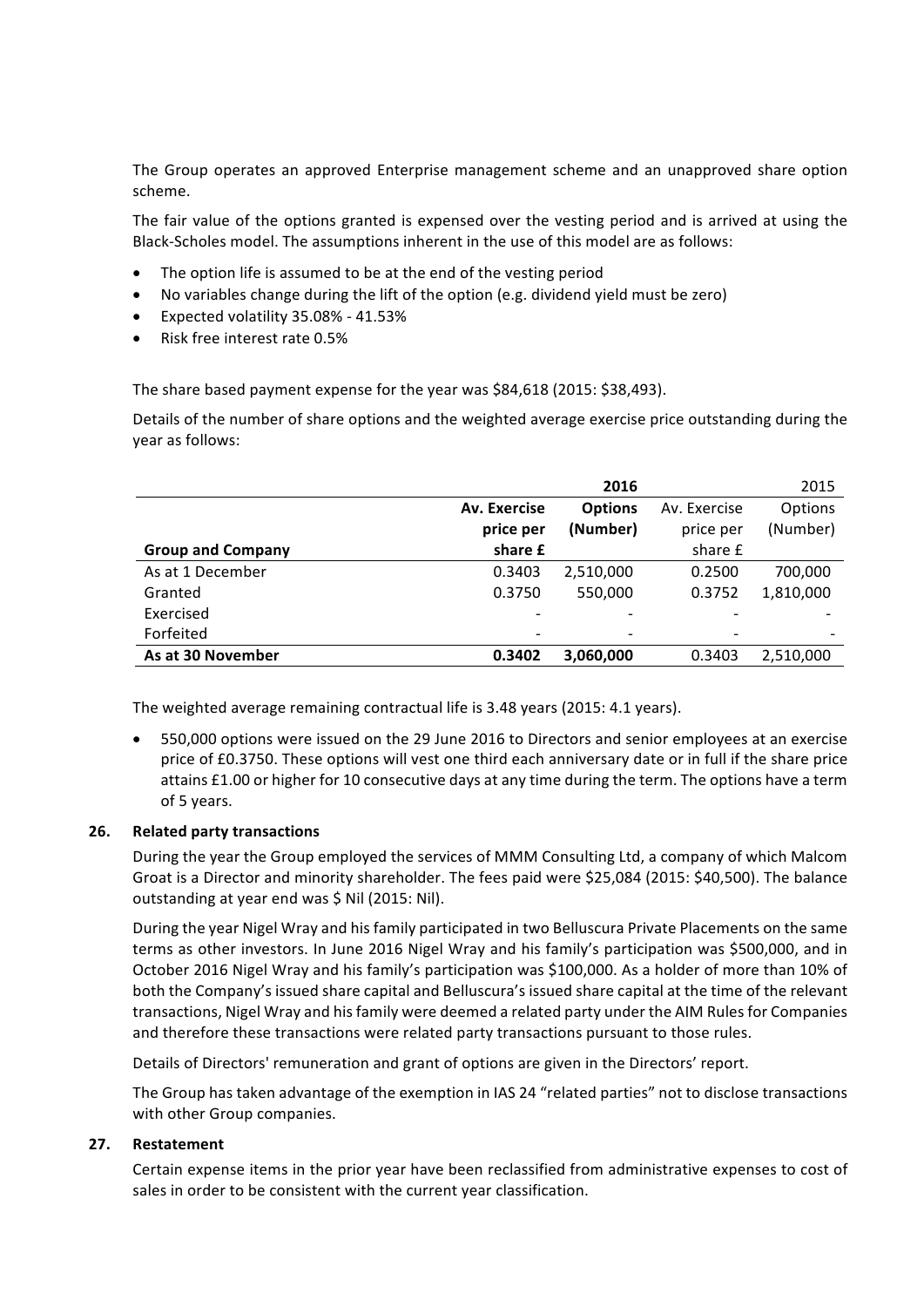The Group operates an approved Enterprise management scheme and an unapproved share option scheme. 

The fair value of the options granted is expensed over the vesting period and is arrived at using the Black-Scholes model. The assumptions inherent in the use of this model are as follows:

- The option life is assumed to be at the end of the vesting period
- No variables change during the lift of the option (e.g. dividend yield must be zero)
- Expected volatility 35.08% 41.53%
- Risk free interest rate 0.5%

The share based payment expense for the year was \$84,618 (2015: \$38,493).

Details of the number of share options and the weighted average exercise price outstanding during the year as follows:

|                          |                          | 2016           |                 | 2015      |
|--------------------------|--------------------------|----------------|-----------------|-----------|
|                          | Av. Exercise             | <b>Options</b> | Av. Exercise    | Options   |
|                          | price per                | (Number)       | price per       | (Number)  |
| <b>Group and Company</b> | share £                  |                | share £         |           |
| As at 1 December         | 0.3403                   | 2,510,000      | 0.2500          | 700,000   |
| Granted                  | 0.3750                   | 550,000        | 0.3752          | 1,810,000 |
| Exercised                |                          |                |                 |           |
| Forfeited                | $\overline{\phantom{a}}$ |                | $\qquad \qquad$ |           |
| As at 30 November        | 0.3402                   | 3,060,000      | 0.3403          | 2,510,000 |

The weighted average remaining contractual life is 3.48 years (2015: 4.1 years).

550,000 options were issued on the 29 June 2016 to Directors and senior employees at an exercise price of £0.3750. These options will vest one third each anniversary date or in full if the share price attains £1.00 or higher for 10 consecutive days at any time during the term. The options have a term of 5 years.

## **26. Related party transactions**

During the year the Group employed the services of MMM Consulting Ltd, a company of which Malcom Groat is a Director and minority shareholder. The fees paid were \$25,084 (2015: \$40,500). The balance outstanding at year end was \$ Nil (2015: Nil).

During the year Nigel Wray and his family participated in two Belluscura Private Placements on the same terms as other investors. In June 2016 Nigel Wray and his family's participation was \$500,000, and in October 2016 Nigel Wray and his family's participation was \$100,000. As a holder of more than 10% of both the Company's issued share capital and Belluscura's issued share capital at the time of the relevant transactions, Nigel Wray and his family were deemed a related party under the AIM Rules for Companies and therefore these transactions were related party transactions pursuant to those rules.

Details of Directors' remuneration and grant of options are given in the Directors' report.

The Group has taken advantage of the exemption in IAS 24 "related parties" not to disclose transactions with other Group companies.

## **27. Restatement**

Certain expense items in the prior year have been reclassified from administrative expenses to cost of sales in order to be consistent with the current year classification.